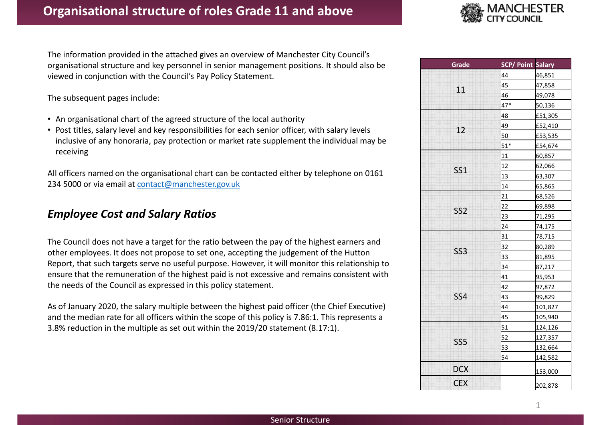

The information provided in the attached gives an overview of Manchester City Council's organisational structure and key personnel in senior management positions. It should also be viewed in conjunction with the Council's Pay Policy Statement.

The subsequent pages include:

- An organisational chart of the agreed structure of the local authority
- Post titles, salary level and key responsibilities for each senior officer, with salary levels inclusive of any honoraria, pay protection or market rate supplement the individual may be receiving

All officers named on the organisational chart can be contacted either by telephone on 0161 234 5000 or via email at contact@manchester.gov.uk

# Employee Cost and Salary Ratios

The Council does not have a target for the ratio between the pay of the highest earners and other employees. It does not propose to set one, accepting the judgement of the Hutton Report, that such targets serve no useful purpose. However, it will monitor this relationship to ensure that the remuneration of the highest paid is not excessive and remains consistent with the needs of the Council as expressed in this policy statement.

As of January 2020, the salary multiple between the highest paid officer (the Chief Executive) and the median rate for all officers within the scope of this policy is 7.86:1. This represents a 3.8% reduction in the multiple as set out within the 2019/20 statement (8.17:1).

| Grade           | <b>SCP/ Point Salary</b> |         |
|-----------------|--------------------------|---------|
|                 | 44                       | 46,851  |
| 11              | 45                       | 47,858  |
|                 | 46                       | 49,078  |
|                 | $47*$                    | 50,136  |
|                 | 48                       | £51,305 |
| 12              | 49                       | £52,410 |
|                 | 50                       | £53,535 |
|                 | $51*$                    | £54,674 |
|                 | 11                       | 60,857  |
| SS <sub>1</sub> | 12                       | 62,066  |
|                 | 13                       | 63,307  |
|                 | 14                       | 65,865  |
|                 | 21                       | 68,526  |
| SS <sub>2</sub> | 22                       | 69,898  |
|                 | 23                       | 71,295  |
|                 | 24                       | 74,175  |
|                 | 31                       | 78,715  |
| SS <sub>3</sub> | 32                       | 80,289  |
|                 | 33                       | 81,895  |
|                 | 34                       | 87,217  |
|                 | 41                       | 95,953  |
|                 | 42                       | 97,872  |
| <b>SS4</b>      | 43                       | 99,829  |
|                 | 44                       | 101,827 |
|                 | 45                       | 105,940 |
|                 | 51                       | 124,126 |
| SS <sub>5</sub> | 52                       | 127,357 |
|                 | 53                       | 132,664 |
|                 | 54                       | 142,582 |
| <b>DCX</b>      |                          | 153,000 |
| <b>CEX</b>      |                          | 202,878 |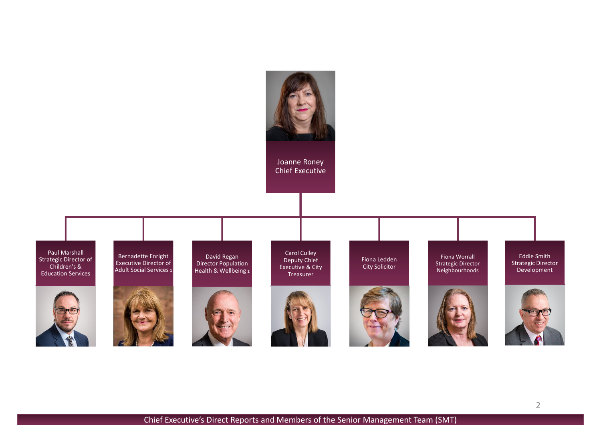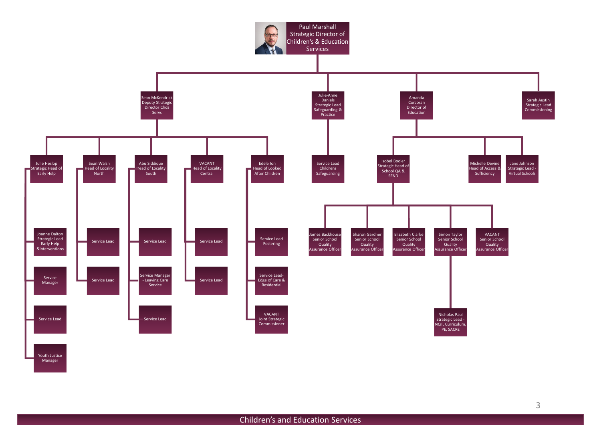

Children's and Education Services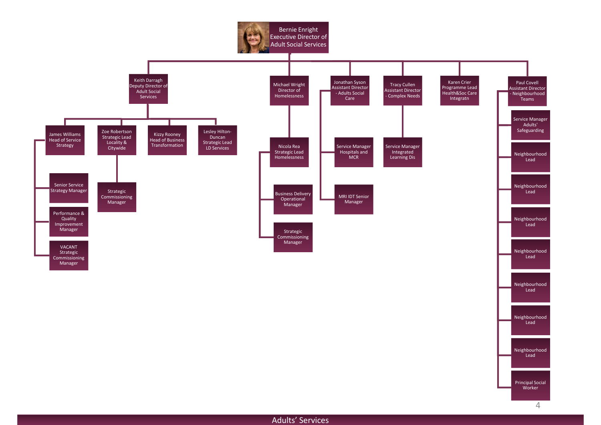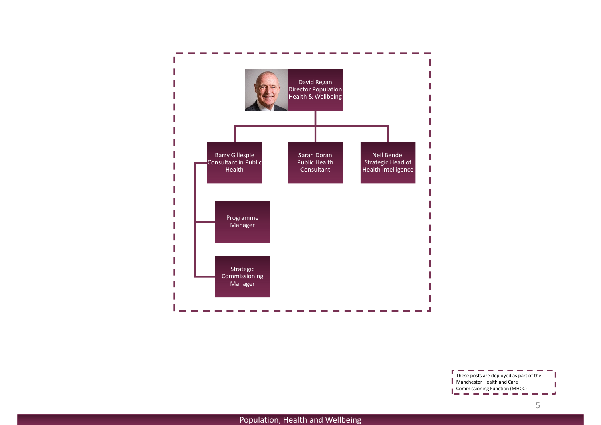

 $\sim 10$ These posts are deployed as part of the Manchester Health and Care Commissioning Function (MHCC) المراسي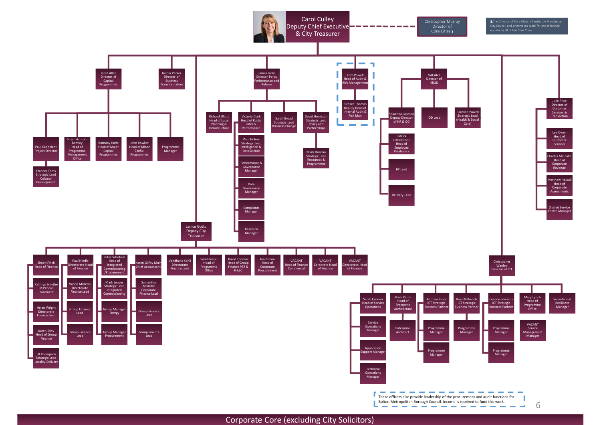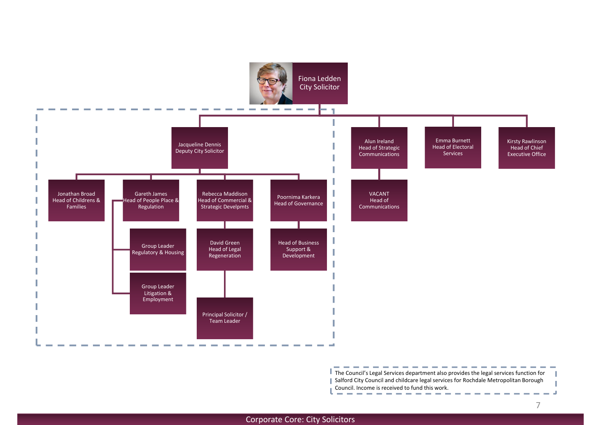

The Council's Legal Services department also provides the legal services function for Salford City Council and childcare legal services for Rochdale Metropolitan Borough Council. Income is received to fund this work.ال س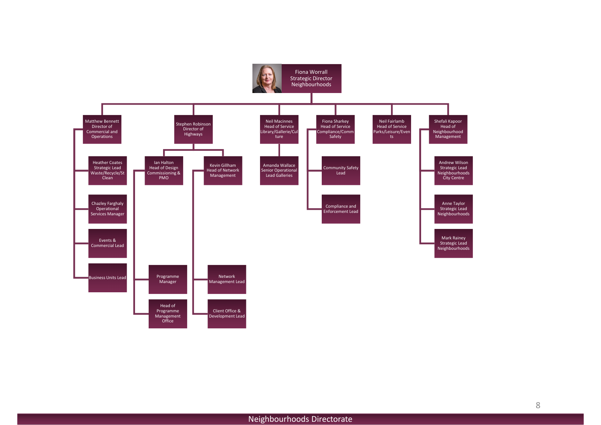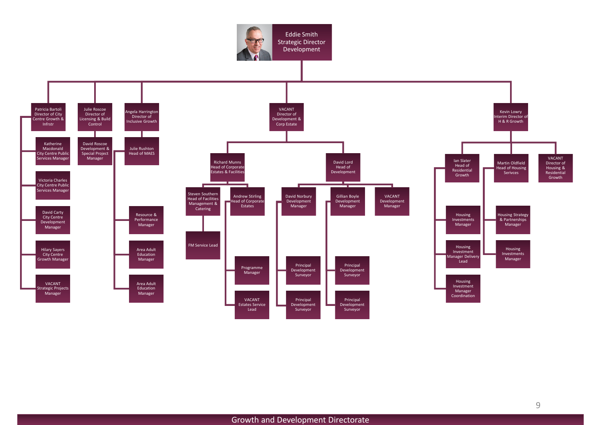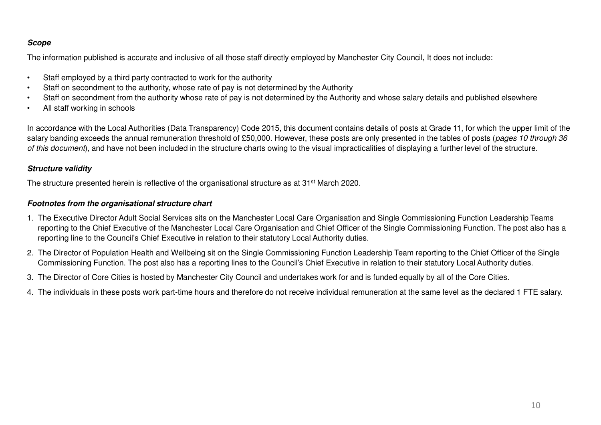## **Scope**

The information published is accurate and inclusive of all those staff directly employed by Manchester City Council, It does not include:

- •Staff employed by a third party contracted to work for the authority
- Staff on secondment to the authority, whose rate of pay is not determined by the Authority•
- Staff on secondment from the authority whose rate of pay is not determined by the Authority and whose salary details and published elsewhere•
- •All staff working in schools

In accordance with the Local Authorities (Data Transparency) Code 2015, this document contains details of posts at Grade 11, for which the upper limit of the salary banding exceeds the annual remuneration threshold of £50,000. However, these posts are only presented in the tables of posts (pages 10 through 36 of this document), and have not been included in the structure charts owing to the visual impracticalities of displaying a further level of the structure.

#### **Structure validity**

The structure presented herein is reflective of the organisational structure as at 31<sup>st</sup> March 2020.

#### **Footnotes from the organisational structure chart**

- 1. The Executive Director Adult Social Services sits on the Manchester Local Care Organisation and Single Commissioning Function Leadership Teams reporting to the Chief Executive of the Manchester Local Care Organisation and Chief Officer of the Single Commissioning Function. The post also has a reporting line to the Council's Chief Executive in relation to their statutory Local Authority duties.
- 2. The Director of Population Health and Wellbeing sit on the Single Commissioning Function Leadership Team reporting to the Chief Officer of the Single Commissioning Function. The post also has a reporting lines to the Council's Chief Executive in relation to their statutory Local Authority duties.
- 3. The Director of Core Cities is hosted by Manchester City Council and undertakes work for and is funded equally by all of the Core Cities.
- 4. The individuals in these posts work part-time hours and therefore do not receive individual remuneration at the same level as the declared 1 FTE salary.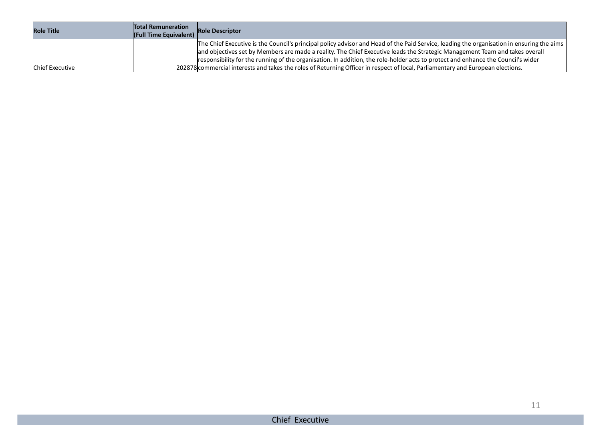| <b>Role Title</b>      | <b>Total Remuneration</b> | <b>IFull Time Equivalent)</b> Role Descriptor                                                                                                                                                                                                                                                                                                                                                                |
|------------------------|---------------------------|--------------------------------------------------------------------------------------------------------------------------------------------------------------------------------------------------------------------------------------------------------------------------------------------------------------------------------------------------------------------------------------------------------------|
|                        |                           | The Chief Executive is the Council's principal policy advisor and Head of the Paid Service, leading the organisation in ensuring the aims<br>and objectives set by Members are made a reality. The Chief Executive leads the Strategic Management Team and takes overall<br>responsibility for the running of the organisation. In addition, the role-holder acts to protect and enhance the Council's wider |
| <b>Chief Executive</b> |                           | 202878 commercial interests and takes the roles of Returning Officer in respect of local, Parliamentary and European elections.                                                                                                                                                                                                                                                                              |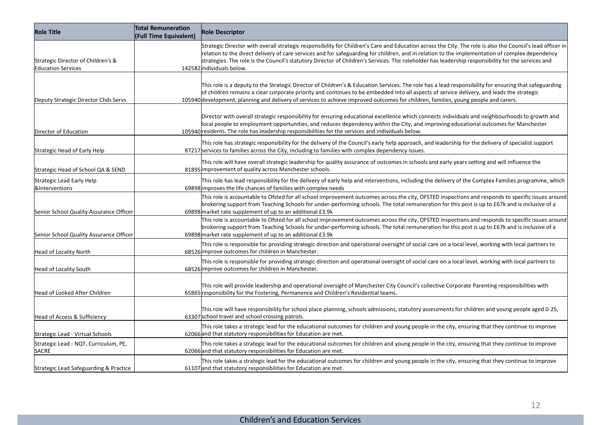| Role Title                                                      | <b>Total Remuneration</b><br>(Full Time Equivalent) | Role Descriptor                                                                                                                                                                                                                                                                                                                                                                                                                                                                                  |
|-----------------------------------------------------------------|-----------------------------------------------------|--------------------------------------------------------------------------------------------------------------------------------------------------------------------------------------------------------------------------------------------------------------------------------------------------------------------------------------------------------------------------------------------------------------------------------------------------------------------------------------------------|
| Strategic Director of Children's &<br><b>Education Services</b> |                                                     | Strategic Director with overall strategic responsibility for Children's Care and Education across the City. The role is also the Council's lead officer in<br>relation to the direct delivery of care services and for safeguarding for children, and in relation to the implementation of complex dependency<br>strategies. The role is the Council's statutory Director of Children's Services. The roleholder has leadership responsibility for the services and<br>142582 individuals below. |
| Deputy Strategic Director Chds Servs                            |                                                     | This role is a deputy to the Strategic Director of Children's & Education Services. The role has a lead responsibility for ensuring that safeguarding<br>of children remains a clear corporate priority and continues to be embedded into all aspects of service delivery, and leads the strategic<br>105940 development, planning and delivery of services to achieve improved outcomes for children, families, young people and carers.                                                        |
| Director of Education                                           |                                                     | Director with overall strategic responsibility for ensuring educational excellence which connects individuals and neighbourhoods to growth and<br>local people to employment opportunities, and reduces dependency within the City, and improving educational outcomes for Manchester<br>105940 residents. The role has leadership responsibilities for the services and individuals below.                                                                                                      |
| Strategic Head of Early Help                                    |                                                     | This role has strategic responsibility for the delivery of the Council's early help approach, and leadership for the delivery of specialist support<br>87217 services to families across the City, including to families with complex dependency issues.                                                                                                                                                                                                                                         |
| Strategic Head of School QA & SEND                              |                                                     | This role will have overall strategic leadership for quality assurance of outcomes in schools and early years setting and will influence the<br>81895 improvement of quality across Manchester schools.                                                                                                                                                                                                                                                                                          |
| Strategic Lead Early Help<br><b>&amp;Interventions</b>          |                                                     | This role has lead responsibility for the delivery of early help and interventions, including the delivery of the Complex Families programme, which<br>69898 improves the life chances of families with complex needs                                                                                                                                                                                                                                                                            |
| Senior School Quality Assurance Officer                         |                                                     | This role is accountable to Ofsted for all school improvement outcomes across the city, OFSTED inspections and responds to specific issues around<br>brokering support from Teaching Schools for under-performing schools. The total remuneration for this post is up to £67k and is inclusive of a<br>69898 market rate supplement of up to an additional £3.9k                                                                                                                                 |
| Senior School Quality Assurance Officer                         |                                                     | This role is accountable to Ofsted for all school improvement outcomes across the city, OFSTED inspections and responds to specific issues around<br>brokering support from Teaching Schools for under-performing schools. The total remuneration for this post is up to £67k and is inclusive of a<br>69898 market rate supplement of up to an additional £3.9k                                                                                                                                 |
| <b>Head of Locality North</b>                                   |                                                     | This role is responsible for providing strategic direction and operational oversight of social care on a local level, working with local partners to<br>68526 improve outcomes for children in Manchester.                                                                                                                                                                                                                                                                                       |
| Head of Locality South                                          |                                                     | This role is responsible for providing strategic direction and operational oversight of social care on a local level, working with local partners to<br>68526 improve outcomes for children in Manchester.                                                                                                                                                                                                                                                                                       |
| Head of Looked After Children                                   |                                                     | This role will provide leadership and operational oversight of Manchester City Council's collective Corporate Parenting responsibilities with<br>65865 responsibility for the Fostering, Permanence and Children's Residential teams.                                                                                                                                                                                                                                                            |
| Head of Access & Sufficiency                                    |                                                     | This role will have responsibility for school place planning, schools admissions, statutory assessments for children and young people aged 0-25,<br>63307 school travel and school crossing patrols.                                                                                                                                                                                                                                                                                             |
| Strategic Lead - Virtual Schools                                |                                                     | This role takes a strategic lead for the educational outcomes for children and young people in the city, ensuring that they continue to improve<br>62066 and that statutory responsibilities for Education are met.                                                                                                                                                                                                                                                                              |
| Strategic Lead - NQT, Curriculum, PE,<br>SACRE                  |                                                     | This role takes a strategic lead for the educational outcomes for children and young people in the city, ensuring that they continue to improve<br>62066 and that statutory responsibilities for Education are met.                                                                                                                                                                                                                                                                              |
| Strategic Lead Safeguarding & Practice                          |                                                     | This role takes a strategic lead for the educational outcomes for children and young people in the city, ensuring that they continue to improve<br>61107 and that statutory responsibilities for Education are met.                                                                                                                                                                                                                                                                              |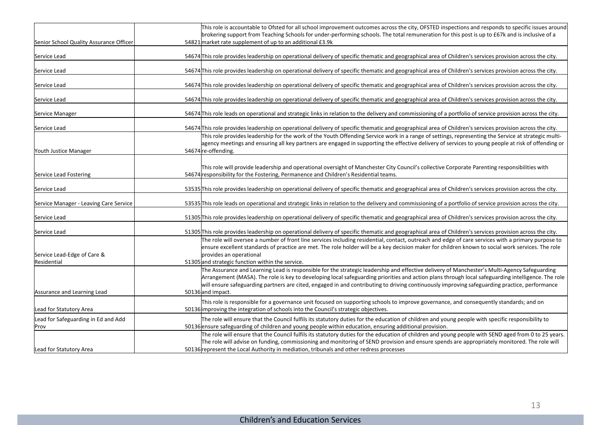|                                             | This role is accountable to Ofsted for all school improvement outcomes across the city, OFSTED inspections and responds to specific issues around                                                                                                                                                                                                                                                                                                   |
|---------------------------------------------|-----------------------------------------------------------------------------------------------------------------------------------------------------------------------------------------------------------------------------------------------------------------------------------------------------------------------------------------------------------------------------------------------------------------------------------------------------|
|                                             | brokering support from Teaching Schools for under-performing schools. The total remuneration for this post is up to £67k and is inclusive of a                                                                                                                                                                                                                                                                                                      |
| Senior School Quality Assurance Officer     | 54821 market rate supplement of up to an additional £3.9k                                                                                                                                                                                                                                                                                                                                                                                           |
| Service Lead                                | 54674 This role provides leadership on operational delivery of specific thematic and geographical area of Children's services provision across the city.                                                                                                                                                                                                                                                                                            |
| Service Lead                                | 54674 This role provides leadership on operational delivery of specific thematic and geographical area of Children's services provision across the city.                                                                                                                                                                                                                                                                                            |
| Service Lead                                | 54674 This role provides leadership on operational delivery of specific thematic and geographical area of Children's services provision across the city.                                                                                                                                                                                                                                                                                            |
| Service Lead                                | 54674 This role provides leadership on operational delivery of specific thematic and geographical area of Children's services provision across the city.                                                                                                                                                                                                                                                                                            |
| Service Manager                             | 54674 This role leads on operational and strategic links in relation to the delivery and commissioning of a portfolio of service provision across the city.                                                                                                                                                                                                                                                                                         |
| Service Lead                                | 54674 This role provides leadership on operational delivery of specific thematic and geographical area of Children's services provision across the city.                                                                                                                                                                                                                                                                                            |
|                                             | This role provides leadership for the work of the Youth Offending Service work in a range of settings, representing the Service at strategic multi-<br>agency meetings and ensuring all key partners are engaged in supporting the effective delivery of services to young people at risk of offending or                                                                                                                                           |
| Youth Justice Manager                       | 54674 re-offending.                                                                                                                                                                                                                                                                                                                                                                                                                                 |
| Service Lead Fostering                      | This role will provide leadership and operational oversight of Manchester City Council's collective Corporate Parenting responsibilities with<br>54674 responsibility for the Fostering, Permanence and Children's Residential teams.                                                                                                                                                                                                               |
| Service Lead                                | 53535 This role provides leadership on operational delivery of specific thematic and geographical area of Children's services provision across the city.                                                                                                                                                                                                                                                                                            |
| Service Manager - Leaving Care Service      | 53535 This role leads on operational and strategic links in relation to the delivery and commissioning of a portfolio of service provision across the city.                                                                                                                                                                                                                                                                                         |
| Service Lead                                | 51305 This role provides leadership on operational delivery of specific thematic and geographical area of Children's services provision across the city.                                                                                                                                                                                                                                                                                            |
| Service Lead                                | 51305 This role provides leadership on operational delivery of specific thematic and geographical area of Children's services provision across the city.                                                                                                                                                                                                                                                                                            |
|                                             | The role will oversee a number of front line services including residential, contact, outreach and edge of care services with a primary purpose to<br>ensure excellent standards of practice are met. The role holder will be a key decision maker for children known to social work services. The role                                                                                                                                             |
| Service Lead-Edge of Care &                 | provides an operational                                                                                                                                                                                                                                                                                                                                                                                                                             |
| <b>I</b> Residential                        | 51305 and strategic function within the service.                                                                                                                                                                                                                                                                                                                                                                                                    |
|                                             | The Assurance and Learning Lead is responsible for the strategic leadership and effective delivery of Manchester's Multi-Agency Safeguarding<br>Arrangement (MASA). The role is key to developing local safeguarding priorities and action plans through local safeguarding intelligence. The role<br>will ensure safeguarding partners are cited, engaged in and contributing to driving continuously improving safeguarding practice, performance |
| Assurance and Learning Lead                 | 50136 and impact.                                                                                                                                                                                                                                                                                                                                                                                                                                   |
|                                             | This role is responsible for a governance unit focused on supporting schools to improve governance, and consequently standards; and on                                                                                                                                                                                                                                                                                                              |
| Lead for Statutory Area                     | 50136 improving the integration of schools into the Council's strategic objectives.                                                                                                                                                                                                                                                                                                                                                                 |
| Lead for Safeguarding in Ed and Add<br>Prov | The role will ensure that the Council fulfils its statutory duties for the education of children and young people with specific responsibility to<br>50136 ensure safeguarding of children and young people within education, ensuring additional provision.                                                                                                                                                                                        |
|                                             | The role will ensure that the Council fulfils its statutory duties for the education of children and young people with SEND aged from 0 to 25 years.<br>The role will advise on funding, commissioning and monitoring of SEND provision and ensure spends are appropriately monitored. The role will                                                                                                                                                |
| Lead for Statutory Area                     | 50136 represent the Local Authority in mediation, tribunals and other redress processes                                                                                                                                                                                                                                                                                                                                                             |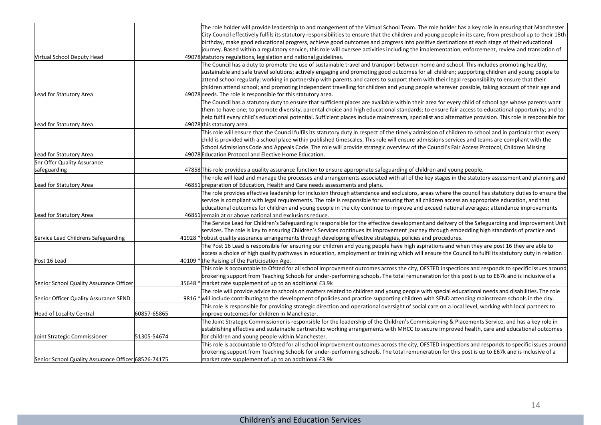|                                                     |             | The role holder will provide leadership to and mangement of the Virtual School Team. The role holder has a key role in ensuring that Manchester                                                                |
|-----------------------------------------------------|-------------|----------------------------------------------------------------------------------------------------------------------------------------------------------------------------------------------------------------|
|                                                     |             | City Council effectively fulfils its statutory responsibilities to ensure that the children and young people in its care, from preschool up to their 18th                                                      |
|                                                     |             | birthday, make good educational progress, achieve good outcomes and progress into positive destinations at each stage of their educational                                                                     |
|                                                     |             | journey. Based within a regulatory service, this role will oversee activities including the implementation, enforcement, review and translation of                                                             |
| Virtual School Deputy Head                          |             | 49078 statutory regulations, legislation and national guidelines.                                                                                                                                              |
|                                                     |             | The Council has a duty to promote the use of sustainable travel and transport between home and school. This includes promoting healthy,                                                                        |
|                                                     |             | sustainable and safe travel solutions; actively engaging and promoting good outcomes for all children; supporting children and young people to                                                                 |
|                                                     |             | attend school regularly; working in partnership with parents and carers to support them with their legal responsibility to ensure that their                                                                   |
| Lead for Statutory Area                             |             | children attend school; and promoting independent travelling for children and young people wherever possible, taking account of their age and<br>49078 needs. The role is responsible for this statutory area. |
|                                                     |             | The Council has a statutory duty to ensure that sufficient places are available within their area for every child of school age whose parents want                                                             |
|                                                     |             | them to have one; to promote diversity, parental choice and high educational standards; to ensure fair access to educational opportunity; and to                                                               |
|                                                     |             | help fulfil every child's educational potential. Sufficient places include mainstream, specialist and alternative provision. This role is responsible for                                                      |
| Lead for Statutory Area                             |             | 49078 this statutory area.                                                                                                                                                                                     |
|                                                     |             | This role will ensure that the Council fulfils its statutory duty in respect of the timely admission of children to school and in particular that every                                                        |
|                                                     |             | child is provided with a school place within published timescales. This role will ensure admissions services and teams are compliant with the                                                                  |
|                                                     |             | School Admissions Code and Appeals Code. The role will provide strategic overview of the Council's Fair Access Protocol, Children Missing                                                                      |
| Lead for Statutory Area                             |             | 49078 Education Protocol and Elective Home Education.                                                                                                                                                          |
| Snr Offcr Quality Assurance                         |             |                                                                                                                                                                                                                |
| safeguarding                                        |             | 47858 This role provides a quality assurance function to ensure appropriate safeguarding of children and young people.                                                                                         |
|                                                     |             | The role will lead and manage the processes and arrangements associated with all of the key stages in the statutory assessment and planning and                                                                |
| Lead for Statutory Area                             |             | 46851 preparation of Education, Health and Care needs assessments and plans.                                                                                                                                   |
|                                                     |             | The role provides effective leadership for inclusion through attendance and exclusions, areas where the council has statutory duties to ensure the                                                             |
|                                                     |             | service is compliant with legal requirements. The role is responsible for ensuring that all children access an appropriate education, and that                                                                 |
|                                                     |             | educational outcomes for children and young people in the city continue to improve and exceed national averages; attendance improvements                                                                       |
| Lead for Statutory Area                             |             | 46851 remain at or above national and exclusions reduce.                                                                                                                                                       |
|                                                     |             | The Service Lead for Children's Safeguarding is responsible for the effective development and delivery of the Safeguarding and Improvement Unit                                                                |
|                                                     |             | services. The role is key to ensuring Children's Services continues its improvement journey through embedding high standards of practice and                                                                   |
| Service Lead Childrens Safeguarding                 |             | 41928 * robust quality assurance arrangements through developing effective strategies, policies and procedures.                                                                                                |
|                                                     |             | The Post 16 Lead is responsible for ensuring our children and young people have high aspirations and when they are post 16 they are able to                                                                    |
| Post 16 Lead                                        |             | access a choice of high quality pathways in education, employment or training which will ensure the Council to fulfil its statutory duty in relation<br>40109 * the Raising of the Participation Age.          |
|                                                     |             | This role is accountable to Ofsted for all school improvement outcomes across the city, OFSTED inspections and responds to specific issues around                                                              |
|                                                     |             | brokering support from Teaching Schools for under-performing schools. The total remuneration for this post is up to £67k and is inclusive of a                                                                 |
| Senior School Quality Assurance Officer             |             | 35648 * market rate supplement of up to an additional £3.9k                                                                                                                                                    |
|                                                     |             | The role will provide advice to schools on matters related to children and young people with special educational needs and disabilities. The role                                                              |
| Senior Officer Quality Assurance SEND               |             | 9816 *will include contributing to the development of policies and practice supporting children with SEND attending mainstream schools in the city.                                                            |
|                                                     |             | This role is responsible for providing strategic direction and operational oversight of social care on a local level, working with local partners to                                                           |
| Head of Locality Central                            | 60857-65865 | limprove outcomes for children in Manchester.                                                                                                                                                                  |
|                                                     |             | The Joint Strategic Commissioner is responsible for the leadership of the Children's Commissioning & Placements Service, and has a key role in                                                                 |
|                                                     |             | establishing effective and sustainable partnership working arrangements with MHCC to secure improved health, care and educational outcomes                                                                     |
| Joint Strategic Commissioner                        | 51305-54674 | for children and young people within Manchester.                                                                                                                                                               |
|                                                     |             | This role is accountable to Ofsted for all school improvement outcomes across the city, OFSTED inspections and responds to specific issues around                                                              |
|                                                     |             | brokering support from Teaching Schools for under-performing schools. The total remuneration for this post is up to £67k and is inclusive of a                                                                 |
| Senior School Quality Assurance Officer 68526-74175 |             | market rate supplement of up to an additional £3.9k                                                                                                                                                            |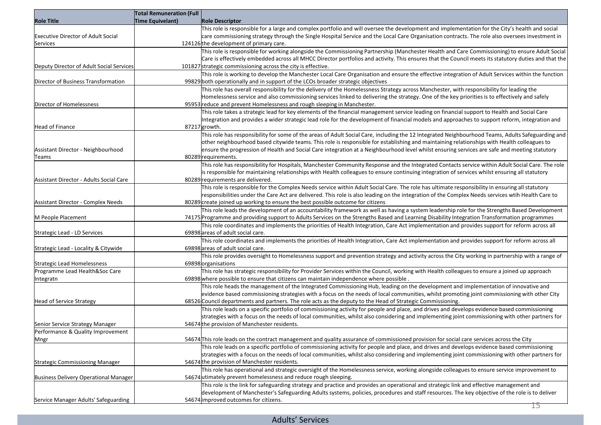|                                          | <b>Total Remuneration (Full</b> |                                                                                                                                                                                                                                                                                           |
|------------------------------------------|---------------------------------|-------------------------------------------------------------------------------------------------------------------------------------------------------------------------------------------------------------------------------------------------------------------------------------------|
| <b>Role Title</b>                        | Time Equivelant)                | <b>Role Descriptor</b>                                                                                                                                                                                                                                                                    |
|                                          |                                 | This role is responsible for a large and complex portfolio and will oversee the development and implementation for the City's health and social                                                                                                                                           |
| Executive Director of Adult Social       |                                 | care commissioning strategy through the Single Hospital Service and the Local Care Organisation contracts. The role also oversees investment in                                                                                                                                           |
| Services                                 |                                 | 124126 the development of primary care.                                                                                                                                                                                                                                                   |
|                                          |                                 | This role is responsible for working alongside the Commissioning Partnership (Manchester Health and Care Commissioning) to ensure Adult Social                                                                                                                                            |
|                                          |                                 | Care is effectively embedded across all MHCC Director portfolios and activity. This ensures that the Council meets its statutory duties and that the                                                                                                                                      |
| Deputy Director of Adult Social Services |                                 | 101827 strategic commissioning across the city is effective.                                                                                                                                                                                                                              |
|                                          |                                 | This role is working to develop the Manchester Local Care Organisation and ensure the effective integration of Adult Services within the function                                                                                                                                         |
| Director of Business Transformation      |                                 | 99829 both operationally and in support of the LCOs broader strategic objectives                                                                                                                                                                                                          |
|                                          |                                 | This role has overall responsibility for the delivery of the Homelessness Strategy across Manchester, with responsibility for leading the                                                                                                                                                 |
|                                          |                                 | Homelessness service and also commissioning services linked to delivering the strategy. One of the key priorities is to effectively and safely                                                                                                                                            |
| Director of Homelessness                 |                                 | 95953 reduce and prevent Homelessness and rough sleeping in Manchester.                                                                                                                                                                                                                   |
|                                          |                                 | This role takes a strategic lead for key elements of the financial management service leading on financial support to Health and Social Care                                                                                                                                              |
|                                          |                                 | Integration and provides a wider strategic lead role for the development of financial models and approaches to support reform, integration and                                                                                                                                            |
| Head of Finance                          |                                 | 87217 growth.                                                                                                                                                                                                                                                                             |
|                                          |                                 | This role has responsibility for some of the areas of Adult Social Care, including the 12 Integrated Neighbourhood Teams, Adults Safeguarding and                                                                                                                                         |
|                                          |                                 | other neighbourhood based citywide teams. This role is responsible for establishing and maintaining relationships with Health colleagues to                                                                                                                                               |
| Assistant Director - Neighbourhood       |                                 | ensure the progression of Health and Social Care integration at a Neighbourhood level whilst ensuring services are safe and meeting statutory                                                                                                                                             |
| Teams                                    |                                 | 80289 requirements.                                                                                                                                                                                                                                                                       |
|                                          |                                 | This role has responsibility for Hospitals, Manchester Community Response and the Integrated Contacts service within Adult Social Care. The role                                                                                                                                          |
|                                          |                                 | is responsible for maintaining relationships with Health colleagues to ensure continuing integration of services whilst ensuring all statutory                                                                                                                                            |
| Assistant Director - Adults Social Care  |                                 | 80289 requirements are delivered.                                                                                                                                                                                                                                                         |
|                                          |                                 | This role is responsible for the Complex Needs service within Adult Social Care. The role has ultimate responsibility in ensuring all statutory                                                                                                                                           |
|                                          |                                 | responsibilities under the Care Act are delivered. This role is also leading on the integration of the Complex Needs services wtih Health Care to                                                                                                                                         |
| Assistant Director - Complex Needs       |                                 | 80289 create joined up working to ensure the best possible outcome for citizens                                                                                                                                                                                                           |
|                                          |                                 | This role leads the development of an accountability framework as well as having a system leadership role for the Strengths Based Development                                                                                                                                             |
| M People Placement                       |                                 | 74175 Programme and providing support to Adults Services on the Strengths Based and Learning Disability Integration Transformation programmes                                                                                                                                             |
|                                          |                                 | This role coordinates and implements the priorities of Health Integration, Care Act implementation and provides support for reform across all                                                                                                                                             |
| Strategic Lead - LD Services             |                                 | 69898 areas of adult social care.                                                                                                                                                                                                                                                         |
|                                          |                                 | This role coordinates and implements the priorities of Health Integration, Care Act implementation and provides support for reform across all                                                                                                                                             |
| Strategic Lead - Locality & Citywide     |                                 | 69898 areas of adult social care.                                                                                                                                                                                                                                                         |
|                                          |                                 | This role provides oversight to Homelessness support and prevention strategy and activity across the City working in partnership with a range of                                                                                                                                          |
| Strategic Lead Homelessness              |                                 | 69898 organisations                                                                                                                                                                                                                                                                       |
| Programme Lead Health&Soc Care           |                                 | This role has strategic responsibility for Provider Services within the Council, working with Health colleagues to ensure a joined up approach                                                                                                                                            |
| Integratn                                |                                 | 69898 where possible to ensure that citizens can maintain independence where possible.                                                                                                                                                                                                    |
|                                          |                                 | This role heads the management of the Integrated Commissioning Hub, leading on the development and implementation of innovative and                                                                                                                                                       |
|                                          |                                 | evidence based commissioning strategies with a focus on the needs of local communities, whilst promoting joint commissioning with other City                                                                                                                                              |
| Head of Service Strategy                 |                                 | 68526 Council departments and partners. The role acts as the deputy to the Head of Strategic Commissioning.                                                                                                                                                                               |
|                                          |                                 | This role leads on a specific portfolio of commissioning activity for people and place, and drives and develops evidence based commissioning                                                                                                                                              |
|                                          |                                 | strategies with a focus on the needs of local communities, whilst also considering and implementing joint commissioning with other partners for<br>54674 the provision of Manchester residents.                                                                                           |
| Senior Service Strategy Manager          |                                 |                                                                                                                                                                                                                                                                                           |
| Performance & Quality Improvement        |                                 |                                                                                                                                                                                                                                                                                           |
| Mngr                                     |                                 | 54674 This role leads on the contract management and quality assurance of commissioned provision for social care services across the City<br>This role leads on a specific portfolio of commissioning activity for people and place, and drives and develops evidence based commissioning |
|                                          |                                 | strategies with a focus on the needs of local communities, whilst also considering and implementing joint commissioning with other partners for                                                                                                                                           |
| Strategic Commissioning Manager          |                                 | 54674 the provision of Manchester residents.                                                                                                                                                                                                                                              |
|                                          |                                 | This role has operational and strategic oversight of the Homelessness service, working alongside colleagues to ensure service improvement to                                                                                                                                              |
| Business Delivery Operational Manager    |                                 | 54674 utimately prevent homelessness and reduce rough sleeping.                                                                                                                                                                                                                           |
|                                          |                                 | This role is the link for safeguarding strategy and practice and provides an operational and strategic link and effective management and                                                                                                                                                  |
|                                          |                                 | development of Manchester's Safeguarding Adults systems, policies, procedures and staff resources. The key objective of the role is to deliver                                                                                                                                            |
| Service Manager Adults' Safeguarding     |                                 | 54674 improved outcomes for citizens.                                                                                                                                                                                                                                                     |
|                                          |                                 | L5                                                                                                                                                                                                                                                                                        |

### Adults' Services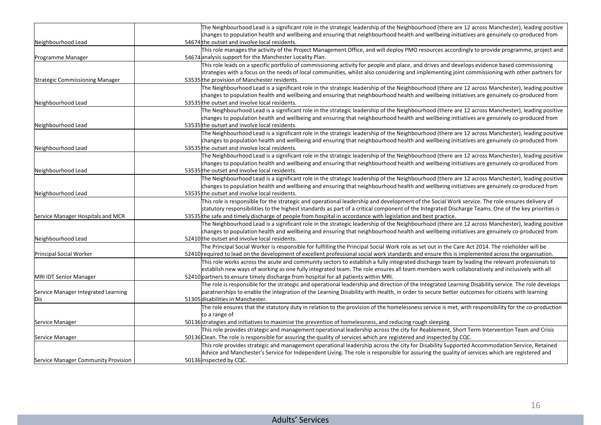|                                     | The Neighbourhood Lead is a significant role in the strategic leadership of the Neighbourhood (there are 12 across Manchester), leading positive                                                                                                       |
|-------------------------------------|--------------------------------------------------------------------------------------------------------------------------------------------------------------------------------------------------------------------------------------------------------|
|                                     | changes to population health and wellbeing and ensuring that neighbourhood health and wellbeing initiatives are genuinely co-produced from                                                                                                             |
| Neighbourhood Lead                  | 54674 the outset and involve local residents.                                                                                                                                                                                                          |
|                                     | This role manages the activity of the Project Management Office, and will deploy PMO resources accordingly to provide programme, project and                                                                                                           |
| Programme Manager                   | 54674 analysis support for the Manchester Locality Plan.                                                                                                                                                                                               |
|                                     | This role leads on a specific portfolio of commissioning activity for people and place, and drives and develops evidence based commissioning                                                                                                           |
|                                     | strategies with a focus on the needs of local communities, whilst also considering and implementing joint commissioning with other partners for                                                                                                        |
| Strategic Commissioning Manager     | 53535 the provision of Manchester residents.                                                                                                                                                                                                           |
|                                     | The Neighbourhood Lead is a significant role in the strategic leadership of the Neighbourhood (there are 12 across Manchester), leading positive                                                                                                       |
|                                     | changes to population health and wellbeing and ensuring that neighbourhood health and wellbeing initiatives are genuinely co-produced from                                                                                                             |
| Neighbourhood Lead                  | 53535 the outset and involve local residents.                                                                                                                                                                                                          |
|                                     | The Neighbourhood Lead is a significant role in the strategic leadership of the Neighbourhood (there are 12 across Manchester), leading positive                                                                                                       |
|                                     | changes to population health and wellbeing and ensuring that neighbourhood health and wellbeing initiatives are genuinely co-produced from                                                                                                             |
| Neighbourhood Lead                  | 53535 the outset and involve local residents.                                                                                                                                                                                                          |
|                                     | The Neighbourhood Lead is a significant role in the strategic leadership of the Neighbourhood (there are 12 across Manchester), leading positive                                                                                                       |
| Neighbourhood Lead                  | changes to population health and wellbeing and ensuring that neighbourhood health and wellbeing initiatives are genuinely co-produced from<br>53535 the outset and involve local residents.                                                            |
|                                     | The Neighbourhood Lead is a significant role in the strategic leadership of the Neighbourhood (there are 12 across Manchester), leading positive                                                                                                       |
|                                     | changes to population health and wellbeing and ensuring that neighbourhood health and wellbeing initiatives are genuinely co-produced from                                                                                                             |
| Neighbourhood Lead                  | 53535 the outset and involve local residents.                                                                                                                                                                                                          |
|                                     | The Neighbourhood Lead is a significant role in the strategic leadership of the Neighbourhood (there are 12 across Manchester), leading positive                                                                                                       |
|                                     | changes to population health and wellbeing and ensuring that neighbourhood health and wellbeing initiatives are genuinely co-produced from                                                                                                             |
| Neighbourhood Lead                  | 53535 the outset and involve local residents.                                                                                                                                                                                                          |
|                                     | This role is responsible for the strategic and operational leadership and development of the Social Work service. The role ensures delivery of                                                                                                         |
|                                     | statutory responsibilities to the highest standards as part of a critical component of the Integrated Discharge Teams. One of the key priorities is                                                                                                    |
| Service Manager Hospitals and MCR   | 53535 the safe and timely discharge of people from hospital in accordance with legislation and best practice.                                                                                                                                          |
|                                     | The Neighbourhood Lead is a significant role in the strategic leadership of the Neighbourhood (there are 12 across Manchester), leading positive                                                                                                       |
|                                     | changes to population health and wellbeing and ensuring that neighbourhood health and wellbeing initiatives are genuinely co-produced from                                                                                                             |
| Neighbourhood Lead                  | 52410 the outset and involve local residents.                                                                                                                                                                                                          |
|                                     | The Principal Social Worker is responsible for fulfilling the Principal Social Work role as set out in the Care Act 2014. The roleholder will be                                                                                                       |
| Principal Social Worker             | 52410 required to lead on the development of excellent professional social work standards and ensure this is implemented across the organisation.                                                                                                      |
|                                     | This role works across the acute and community sectors to establish a fully integrated discharge team by leading the relevant professionals to                                                                                                         |
|                                     | establish new ways of working as one fully integrated team. The role ensures all team members work collaboratively and inclusively with all                                                                                                            |
| <b>MRI IDT Senior Manager</b>       | 52410 partners to ensure timely discharge from hospital for all patients within MRI.                                                                                                                                                                   |
|                                     | The role is responsible for the strategic and operational leadership and direction of the Integrated Learning Disability service. The role develops                                                                                                    |
| Service Manager Integrated Learning | paratnerships to enable the integration of the Learning Disability with Health, in order to secure better outcomes for citizens with learning                                                                                                          |
| Dis                                 | 51305 disabilities in Manchester.                                                                                                                                                                                                                      |
|                                     | The role ensures that the statutory duty in relation to the provision of the homelessness service is met, with responsibility for the co-production                                                                                                    |
|                                     | to a range of                                                                                                                                                                                                                                          |
| Service Manager                     | 50136 strategies and initiatives to maximise the prevention of homelessness, and reducing rough sleeping<br>This role provides strategic and management operational leadership across the city for Reablement, Short Term Intervention Team and Crisis |
| Service Manager                     | 50136 Clean. The role is responsible for assuring the quality of services which are registered and inspected by CQC.                                                                                                                                   |
|                                     | This role provides strategic and management operational leadership across the city for Disability Supported Accommodation Service, Retained                                                                                                            |
|                                     | Advice and Manchester's Service for Independent Living. The role is responsible for assuring the quality of services which are registered and                                                                                                          |
| Service Manager Community Provision | 50136 inspected by CQC.                                                                                                                                                                                                                                |
|                                     |                                                                                                                                                                                                                                                        |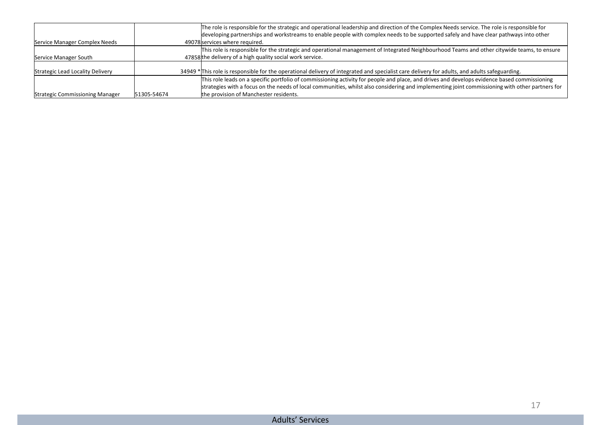|                                  |             | The role is responsible for the strategic and operational leadership and direction of the Complex Needs service. The role is responsible for<br>developing partnerships and workstreams to enable people with complex needs to be supported safely and have clear pathways into other |
|----------------------------------|-------------|---------------------------------------------------------------------------------------------------------------------------------------------------------------------------------------------------------------------------------------------------------------------------------------|
| Service Manager Complex Needs    |             | 49078 services where required.                                                                                                                                                                                                                                                        |
|                                  |             | This role is responsible for the strategic and operational management of Integrated Neighbourhood Teams and other citywide teams, to ensure                                                                                                                                           |
| Service Manager South            |             | 47858 the delivery of a high quality social work service.                                                                                                                                                                                                                             |
|                                  |             |                                                                                                                                                                                                                                                                                       |
| Strategic Lead Locality Delivery |             | 34949 * This role is responsible for the operational delivery of integrated and specialist care delivery for adults, and adults safeguarding.                                                                                                                                         |
|                                  |             | This role leads on a specific portfolio of commissioning activity for people and place, and drives and develops evidence based commissioning                                                                                                                                          |
|                                  |             | strategies with a focus on the needs of local communities, whilst also considering and implementing joint commissioning with other partners for                                                                                                                                       |
| Strategic Commissioning Manager  | 51305-54674 | the provision of Manchester residents.                                                                                                                                                                                                                                                |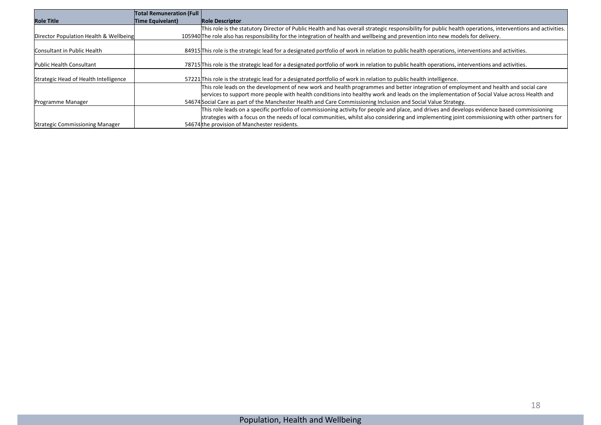|                                        | <b>Total Remuneration (Full</b> |                                                                                                                                                           |
|----------------------------------------|---------------------------------|-----------------------------------------------------------------------------------------------------------------------------------------------------------|
| <b>Role Title</b>                      | Time Equivelant)                | <b>Role Descriptor</b>                                                                                                                                    |
|                                        |                                 | This role is the statutory Director of Public Health and has overall strategic responsibility for public health operations, interventions and activities. |
| Director Population Health & Wellbeing |                                 | 105940 The role also has responsibility for the integration of health and wellbeing and prevention into new models for delivery.                          |
|                                        |                                 |                                                                                                                                                           |
| Consultant in Public Health            |                                 | 84915 This role is the strategic lead for a designated portfolio of work in relation to public health operations, interventions and activities.           |
|                                        |                                 |                                                                                                                                                           |
| Public Health Consultant               |                                 | 78715 This role is the strategic lead for a designated portfolio of work in relation to public health operations, interventions and activities.           |
| Strategic Head of Health Intelligence  |                                 | 57221 This role is the strategic lead for a designated portfolio of work in relation to public health intelligence.                                       |
|                                        |                                 |                                                                                                                                                           |
|                                        |                                 | This role leads on the development of new work and health programmes and better integration of employment and health and social care                      |
|                                        |                                 | services to support more people with health conditions into healthy work and leads on the implementation of Social Value across Health and                |
| Programme Manager                      |                                 | 54674 Social Care as part of the Manchester Health and Care Commissioning Inclusion and Social Value Strategy.                                            |
|                                        |                                 | This role leads on a specific portfolio of commissioning activity for people and place, and drives and develops evidence based commissioning              |
|                                        |                                 | strategies with a focus on the needs of local communities, whilst also considering and implementing joint commissioning with other partners for           |
| Strategic Commissioning Manager        |                                 | 54674 the provision of Manchester residents.                                                                                                              |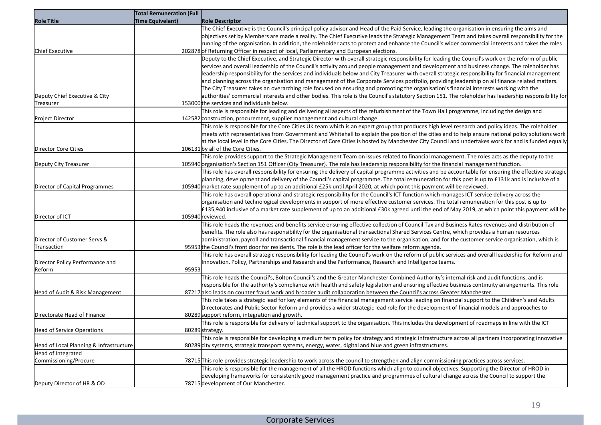|                                         | <b>Total Remuneration (Full</b> |                                                                                                                                                                                                                                                                                                 |
|-----------------------------------------|---------------------------------|-------------------------------------------------------------------------------------------------------------------------------------------------------------------------------------------------------------------------------------------------------------------------------------------------|
| <b>Role Title</b>                       | <b>Time Equivelant)</b>         | <b>Role Descriptor</b>                                                                                                                                                                                                                                                                          |
|                                         |                                 | The Chief Executive is the Council's principal policy advisor and Head of the Paid Service, leading the organisation in ensuring the aims and<br>objectives set by Members are made a reality. The Chief Executive leads the Strategic Management Team and takes overall responsibility for the |
|                                         |                                 | running of the organisation. In addition, the roleholder acts to protect and enhance the Council's wider commercial interests and takes the roles                                                                                                                                               |
| Chief Executive                         |                                 | 202878 of Returning Officer in respect of local, Parliamentary and European elections.                                                                                                                                                                                                          |
|                                         |                                 | Deputy to the Chief Executive, and Strategic Director with overall strategic responsibility for leading the Council's work on the reform of public                                                                                                                                              |
|                                         |                                 | services and overall leadership of the Council's activity around people management and development and business change. The roleholder has                                                                                                                                                      |
|                                         |                                 | leadership responsibility for the services and individuals below and City Treasurer with overall strategic responsibility for financial management                                                                                                                                              |
|                                         |                                 | and planning across the organisation and management of the Corporate Services portfolio, providing leadership on all finance related matters.                                                                                                                                                   |
|                                         |                                 | The City Treasurer takes an overarching role focused on ensuring and promoting the organisation's financial interests working with the                                                                                                                                                          |
| Deputy Chief Executive & City           |                                 | authorities' commercial interests and other bodies. This role is the Council's statutory Section 151. The roleholder has leadership responsibility for<br>153000 the services and individuals below.                                                                                            |
| Treasurer                               |                                 | This role is responsible for leading and delivering all aspects of the refurbishment of the Town Hall programme, including the design and                                                                                                                                                       |
| Project Director                        |                                 | 142582 construction, procurement, supplier management and cultural change.                                                                                                                                                                                                                      |
|                                         |                                 | This role is responsible for the Core Cities UK team which is an expert group that produces high level research and policy ideas. The roleholder                                                                                                                                                |
|                                         |                                 | meets with representatives from Government and Whitehall to explain the position of the cities and to help ensure national policy solutions work                                                                                                                                                |
|                                         |                                 | at the local level in the Core Cities. The Director of Core Cities is hosted by Manchester City Council and undertakes work for and is funded equally                                                                                                                                           |
| Director Core Cities                    |                                 | 106131 by all of the Core Cities.                                                                                                                                                                                                                                                               |
|                                         |                                 | This role provides support to the Strategic Management Team on issues related to financial management. The roles acts as the deputy to the                                                                                                                                                      |
| Deputy City Treasurer                   |                                 | 105940 organisation's Section 151 Officer (City Treasurer). The role has leadership responsibility for the financial management function.                                                                                                                                                       |
|                                         |                                 | This role has overall responsibility for ensuring the delivery of capital programme activities and be accountable for ensuring the effective strategic                                                                                                                                          |
|                                         |                                 | planning, development and delivery of the Council's capital programme. The total remuneration for this post is up to £131k and is inclusive of a                                                                                                                                                |
| Director of Capital Programmes          |                                 | 105940 market rate supplement of up to an additional £25k until April 2020, at which point this payment will be reviewed.                                                                                                                                                                       |
|                                         |                                 | This role has overall operational and strategic responsibility for the Council's ICT function which manages ICT service delivery across the                                                                                                                                                     |
|                                         |                                 | organisation and technological developments in support of more effective customer services. The total remuneration for this post is up to                                                                                                                                                       |
| Director of ICT                         |                                 | £135,940 inclusive of a market rate supplement of up to an additional £30k agreed until the end of May 2019, at which point this payment will be<br>105940 reviewed.                                                                                                                            |
|                                         |                                 | This role heads the revenues and benefits service ensuring effective collection of Council Tax and Business Rates revenues and distribution of                                                                                                                                                  |
|                                         |                                 | benefits. The role also has responsibility for the organisational transactional Shared Services Centre, which provides a human resources                                                                                                                                                        |
| Director of Customer Servs &            |                                 | administration, payroll and transactional financial management service to the organisation, and for the customer service organisation, which is                                                                                                                                                 |
| Transaction                             |                                 | 95953 the Council's front door for residents. The role is the lead officer for the welfare reform agenda.                                                                                                                                                                                       |
|                                         |                                 | This role has overall strategic responsibility for leading the Council's work on the reform of public services and overall leadership for Reform and                                                                                                                                            |
| Director Policy Performance and         |                                 | Innovation, Policy, Partnerships and Research and the Performance, Research and Intelligence teams.                                                                                                                                                                                             |
| Reform                                  | 95953                           |                                                                                                                                                                                                                                                                                                 |
|                                         |                                 | This role heads the Council's, Bolton Council's and the Greater Manchester Combined Authority's internal risk and audit functions, and is                                                                                                                                                       |
|                                         |                                 | responsible for the authority's compliance with health and safety legislation and ensuring effective business continuity arrangements. This role<br>87217 also leads on counter fraud work and broader audit collaboration between the Council's across Greater Manchester.                     |
| Head of Audit & Risk Management         |                                 | This role takes a strategic lead for key elements of the financial management service leading on financial support to the Children's and Adults                                                                                                                                                 |
|                                         |                                 | Directorates and Public Sector Reform and provides a wider strategic lead role for the development of financial models and approaches to                                                                                                                                                        |
| Directorate Head of Finance             |                                 | 80289 support reform, integration and growth.                                                                                                                                                                                                                                                   |
|                                         |                                 | This role is responsible for delivery of technical support to the organisation. This includes the development of roadmaps in line with the ICT                                                                                                                                                  |
| Head of Service Operations              |                                 | 80289strategy.                                                                                                                                                                                                                                                                                  |
|                                         |                                 | This role is responsible for developing a medium term policy for strategy and strategic infrastructure across all partners incorporating innovative                                                                                                                                             |
| Head of Local Planning & Infrastructure |                                 | 80289 city systems, strategic transport systems, energy, water, digital and blue and green infrastructures.                                                                                                                                                                                     |
| Head of Integrated                      |                                 |                                                                                                                                                                                                                                                                                                 |
| Commissioning/Procure                   |                                 | 78715 This role provides strategic leadership to work across the council to strengthen and align commissioning practices across services.                                                                                                                                                       |
|                                         |                                 | This role is responsible for the management of all the HROD functions which align to council objectives. Supporting the Director of HROD in                                                                                                                                                     |
|                                         |                                 | developing frameworks for consistently good management practice and programmes of cultural change across the Council to support the<br>78715 development of Our Manchester.                                                                                                                     |
| Deputy Director of HR & OD              |                                 |                                                                                                                                                                                                                                                                                                 |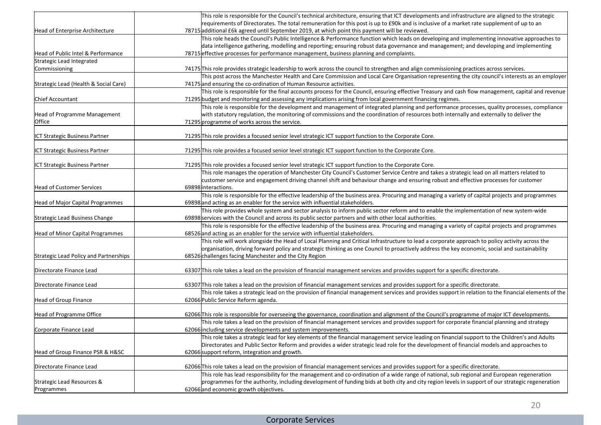|                                         | This role is responsible for the Council's technical architecture, ensuring that ICT developments and infrastructure are aligned to the strategic                                                                     |
|-----------------------------------------|-----------------------------------------------------------------------------------------------------------------------------------------------------------------------------------------------------------------------|
|                                         | requirements of Directorates. The total remuneration for this post is up to £90k and is inclusive of a market rate supplement of up to an                                                                             |
| Head of Enterprise Architecture         | 78715 additional £6k agreed until September 2019, at which point this payment will be reviewed.                                                                                                                       |
|                                         | This role heads the Council's Public Intelligence & Performance function which leads on developing and implementing innovative approaches to                                                                          |
|                                         | data intelligence gathering, modelling and reporting; ensuring robust data governance and management; and developing and implementing                                                                                 |
| Head of Public Intel & Performance      | 78715 effective processes for performance management, business planning and complaints.                                                                                                                               |
| Strategic Lead Integrated               |                                                                                                                                                                                                                       |
| Commissioning                           | 74175 This role provides strategic leadership to work across the council to strengthen and align commissioning practices across services.                                                                             |
|                                         | This post across the Manchester Health and Care Commission and Local Care Organisation representing the city council's interests as an employer<br>74175 and ensuring the co-ordination of Human Resource activities. |
| Strategic Lead (Health & Social Care)   | This role is responsible for the final accounts process for the Council, ensuring effective Treasury and cash flow management, capital and revenue                                                                    |
| <b>Chief Accountant</b>                 | 71295 budget and monitoring and assessing any implications arising from local government financing regimes.                                                                                                           |
|                                         | This role is responsible for the development and management of integrated planning and performance processes, quality processes, compliance                                                                           |
| Head of Programme Management            | with statutory regulation, the monitoring of commissions and the coordination of resources both internally and externally to deliver the                                                                              |
| Office                                  | 71295 programme of works across the service.                                                                                                                                                                          |
|                                         |                                                                                                                                                                                                                       |
| ICT Strategic Business Partner          | 71295 This role provides a focused senior level strategic ICT support function to the Corporate Core.                                                                                                                 |
|                                         |                                                                                                                                                                                                                       |
| ICT Strategic Business Partner          | 71295 This role provides a focused senior level strategic ICT support function to the Corporate Core.                                                                                                                 |
|                                         |                                                                                                                                                                                                                       |
| ICT Strategic Business Partner          | 71295 This role provides a focused senior level strategic ICT support function to the Corporate Core.                                                                                                                 |
|                                         | This role manages the operation of Manchester City Council's Customer Service Centre and takes a strategic lead on all matters related to                                                                             |
| <b>Head of Customer Services</b>        | customer service and engagement driving channel shift and behaviour change and ensuring robust and effective processes for customer<br>69898 interactions.                                                            |
|                                         | This role is responsible for the effective leadership of the business area. Procuring and managing a variety of capital projects and programmes                                                                       |
| <b>Head of Major Capital Programmes</b> | 69898 and acting as an enabler for the service with influential stakeholders.                                                                                                                                         |
|                                         | This role provides whole system and sector analysis to inform public sector reform and to enable the implementation of new system-wide                                                                                |
| Strategic Lead Business Change          | 69898 services with the Council and across its public sector partners and with other local authorities.                                                                                                               |
|                                         | This role is responsible for the effective leadership of the business area. Procuring and managing a variety of capital projects and programmes                                                                       |
| Head of Minor Capital Programmes        | 68526 and acting as an enabler for the service with influential stakeholders.                                                                                                                                         |
|                                         | This role will work alongside the Head of Local Planning and Critical Infrastructure to lead a corporate approach to policy activity across the                                                                       |
|                                         | organisation, driving forward policy and strategic thinking as one Council to proactively address the key economic, social and sustainability                                                                         |
| Strategic Lead Policy and Partnerships  | 68526 challenges facing Manchester and the City Region                                                                                                                                                                |
|                                         |                                                                                                                                                                                                                       |
| Directorate Finance Lead                | 63307 This role takes a lead on the provision of financial management services and provides support for a specific directorate.                                                                                       |
|                                         |                                                                                                                                                                                                                       |
| Directorate Finance Lead                | 63307 This role takes a lead on the provision of financial management services and provides support for a specific directorate.                                                                                       |
|                                         | This role takes a strategic lead on the provision of financial management services and provides support in relation to the financial elements of the<br>62066 Public Service Reform agenda.                           |
| Head of Group Finance                   |                                                                                                                                                                                                                       |
| Head of Programme Office                | 62066 This role is responsible for overseeing the governance, coordination and alignment of the Council's programme of major ICT developments.                                                                        |
|                                         | This role takes a lead on the provision of financial management services and provides support for corporate financial planning and strategy                                                                           |
| Corporate Finance Lead                  | 62066 including service developments and system improvements.                                                                                                                                                         |
|                                         | This role takes a strategic lead for key elements of the financial management service leading on financial support to the Children's and Adults                                                                       |
|                                         | Directorates and Public Sector Reform and provides a wider strategic lead role for the development of financial models and approaches to                                                                              |
| Head of Group Finance PSR & H&SC        | 62066 support reform, integration and growth.                                                                                                                                                                         |
|                                         |                                                                                                                                                                                                                       |
| Directorate Finance Lead                | 62066 This role takes a lead on the provision of financial management services and provides support for a specific directorate.                                                                                       |
|                                         | This role has lead responsibility for the management and co-ordination of a wide range of national, sub regional and European regeneration                                                                            |
| Strategic Lead Resources &              | programmes for the authority, including development of funding bids at both city and city region levels in support of our strategic regeneration                                                                      |
| Programmes                              | 62066 and economic growth objectives.                                                                                                                                                                                 |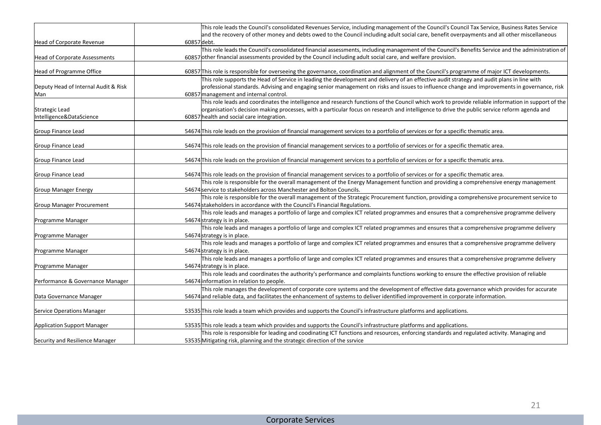|                                      | This role leads the Council's consolidated Revenues Service, including management of the Council's Council Tax Service, Business Rates Service      |
|--------------------------------------|-----------------------------------------------------------------------------------------------------------------------------------------------------|
|                                      | and the recovery of other money and debts owed to the Council including adult social care, benefit overpayments and all other miscellaneous         |
| Head of Corporate Revenue            | 60857debt.                                                                                                                                          |
|                                      | This role leads the Council's consolidated financial assessments, including management of the Council's Benefits Service and the administration of  |
| <b>Head of Corporate Assessments</b> | 60857 other financial assessments provided by the Council including adult social care, and welfare provision.                                       |
|                                      |                                                                                                                                                     |
| Head of Programme Office             | 60857 This role is responsible for overseeing the governance, coordination and alignment of the Council's programme of major ICT developments.      |
|                                      | This role supports the Head of Service in leading the development and delivery of an effective audit strategy and audit plans in line with          |
| Deputy Head of Internal Audit & Risk | professional standards. Advising and engaging senior management on risks and issues to influence change and improvements in governance, risk        |
| Man                                  | 60857 management and internal control.                                                                                                              |
|                                      | This role leads and coordinates the intelligence and research functions of the Council which work to provide reliable information in support of the |
| Strategic Lead                       | organisation's decision making processes, with a particular focus on research and intelligence to drive the public service reform agenda and        |
| Intelligence&DataScience             | 60857 health and social care integration.                                                                                                           |
|                                      |                                                                                                                                                     |
| Group Finance Lead                   | 54674 This role leads on the provision of financial management services to a portfolio of services or for a specific thematic area.                 |
| Group Finance Lead                   | 54674 This role leads on the provision of financial management services to a portfolio of services or for a specific thematic area.                 |
|                                      |                                                                                                                                                     |
| Group Finance Lead                   | 54674 This role leads on the provision of financial management services to a portfolio of services or for a specific thematic area.                 |
|                                      |                                                                                                                                                     |
| Group Finance Lead                   | 54674 This role leads on the provision of financial management services to a portfolio of services or for a specific thematic area.                 |
|                                      | This role is responsible for the overall management of the Energy Management function and providing a comprehensive energy management               |
| <b>Group Manager Energy</b>          | 54674 service to stakeholders across Manchester and Bolton Councils.                                                                                |
|                                      | This role is responsible for the overall management of the Strategic Procurement function, providing a comprehensive procurement service to         |
| <b>Group Manager Procurement</b>     | 54674 stakeholders in accordance with the Council's Financial Regulations.                                                                          |
|                                      | This role leads and manages a portfolio of large and complex ICT related programmes and ensures that a comprehensive programme delivery             |
| Programme Manager                    | 54674 strategy is in place.                                                                                                                         |
|                                      | This role leads and manages a portfolio of large and complex ICT related programmes and ensures that a comprehensive programme delivery             |
| Programme Manager                    | 54674 strategy is in place.                                                                                                                         |
|                                      | This role leads and manages a portfolio of large and complex ICT related programmes and ensures that a comprehensive programme delivery             |
| Programme Manager                    | 54674 strategy is in place.                                                                                                                         |
|                                      | This role leads and manages a portfolio of large and complex ICT related programmes and ensures that a comprehensive programme delivery             |
| Programme Manager                    | 54674 strategy is in place.                                                                                                                         |
|                                      | This role leads and coordinates the authority's performance and complaints functions working to ensure the effective provision of reliable          |
| Performance & Governance Manager     | 54674 information in relation to people.                                                                                                            |
|                                      | This role manages the development of corporate core systems and the development of effective data governance which provides for accurate            |
| Data Governance Manager              | 54674 and reliable data, and facilitates the enhancement of systems to deliver identified improvement in corporate information.                     |
|                                      |                                                                                                                                                     |
| Service Operations Manager           | 53535 This role leads a team which provides and supports the Council's infrastructure platforms and applications.                                   |
| <b>Application Support Manager</b>   | 53535 This role leads a team which provides and supports the Council's infrastructure platforms and applications.                                   |
|                                      | This role is responsible for leading and coodinating ICT functions and resources, enforcing standards and regulated activity. Managing and          |
| Security and Resilience Manager      | 53535 Mitigating risk, planning and the strategic direction of the ssrvice                                                                          |
|                                      |                                                                                                                                                     |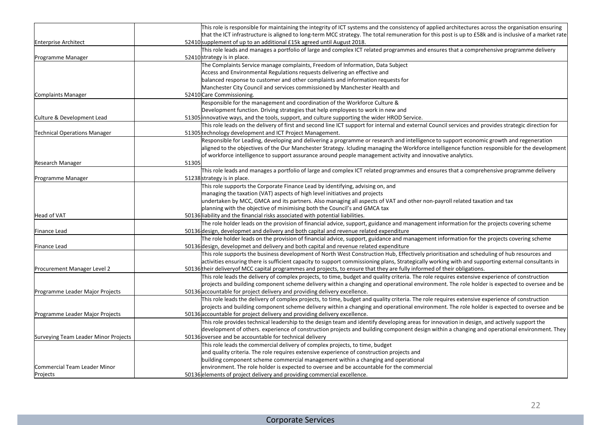|                                      |       | This role is responsible for maintaining the integrity of ICT systems and the consistency of applied architectures across the organisation ensuring                            |
|--------------------------------------|-------|--------------------------------------------------------------------------------------------------------------------------------------------------------------------------------|
|                                      |       | that the ICT infrastructure is aligned to long-term MCC strategy. The total remuneration for this post is up to £58k and is inclusive of a market rate                         |
| <b>Enterprise Architect</b>          |       | 52410 supplement of up to an additional £15k agreed until August 2018.                                                                                                         |
|                                      |       | This role leads and manages a portfolio of large and complex ICT related programmes and ensures that a comprehensive programme delivery                                        |
| Programme Manager                    |       | 52410 strategy is in place.                                                                                                                                                    |
|                                      |       | The Complaints Service manage complaints, Freedom of Information, Data Subject                                                                                                 |
|                                      |       | Access and Environmental Regulations requests delivering an effective and                                                                                                      |
|                                      |       | balanced response to customer and other complaints and information requests for                                                                                                |
|                                      |       | Manchester City Council and services commissioned by Manchester Health and                                                                                                     |
| Complaints Manager                   |       | 52410 Care Commissioning.                                                                                                                                                      |
|                                      |       | Responsible for the management and coordination of the Workforce Culture &                                                                                                     |
|                                      |       | Development function. Driving strategies that help employees to work in new and                                                                                                |
| Culture & Development Lead           |       | 51305 innovative ways, and the tools, support, and culture supporting the wider HROD Service.                                                                                  |
|                                      |       | This role leads on the delivery of first and second line ICT support for internal and external Council services and provides strategic direction for                           |
| Technical Operations Manager         |       | 51305 technology development and ICT Project Management.                                                                                                                       |
|                                      |       | Responsible for Leading, developing and delivering a programme or research and intelligence to support economic growth and regeneration                                        |
|                                      |       | aligned to the objectives of the Our Manchester Strategy. Icluding managing the Workforce intelligence function responsible for the development                                |
|                                      |       | of workforce intelligence to support assurance around people management activity and innovative analytics.                                                                     |
| Research Manager                     | 51305 |                                                                                                                                                                                |
|                                      |       | This role leads and manages a portfolio of large and complex ICT related programmes and ensures that a comprehensive programme delivery                                        |
| Programme Manager                    |       | 51238 strategy is in place.                                                                                                                                                    |
|                                      |       | This role supports the Corporate Finance Lead by identifying, advising on, and                                                                                                 |
|                                      |       | managing the taxation (VAT) aspects of high level initiatives and projects                                                                                                     |
|                                      |       | undertaken by MCC, GMCA and its partners. Also managing all aspects of VAT and other non-payroll related taxation and tax                                                      |
|                                      |       | planning with the objective of minimising both the Council's and GMCA tax                                                                                                      |
| <b>Head of VAT</b>                   |       | 50136 liability and the financial risks associated with potential liabilities.                                                                                                 |
|                                      |       | The role holder leads on the provision of financial advice, support, guidance and management information for the projects covering scheme                                      |
| Finance Lead                         |       | 50136 design, developmet and delivery and both capital and revenue related expenditure                                                                                         |
|                                      |       | The role holder leads on the provision of financial advice, support, guidance and management information for the projects covering scheme                                      |
| Finance Lead                         |       | 50136 design, developmet and delivery and both capital and revenue related expenditure                                                                                         |
|                                      |       | This role supports the business development of North West Construction Hub, Effectively prioritisation and scheduling of hub resources and                                     |
|                                      |       | activities ensuring there is sufficient capacity to support commissioning plans, Strategically working with and supporting external consultants in                             |
| Procurement Manager Level 2          |       | 50136 their delivery of MCC capital programmes and projects, to ensure that they are fully informed of their obligations.                                                      |
|                                      |       | This role leads the delivery of complex projects, to time, budget and quality criteria. The role requires extensive experience of construction                                 |
|                                      |       | projects and building component scheme delivery within a changing and operational environment. The role holder is expected to oversee and be                                   |
| Programme Leader Major Projects      |       | 50136 accountable for project delivery and providing delivery excellence.                                                                                                      |
|                                      |       | This role leads the delivery of complex projects, to time, budget and quality criteria. The role requires extensive experience of construction                                 |
|                                      |       | projects and building component scheme delivery within a changing and operational environment. The role holder is expected to oversee and be                                   |
| Programme Leader Major Projects      |       | 50136 accountable for project delivery and providing delivery excellence.                                                                                                      |
|                                      |       | This role provides technical leadership to the design team and identify developing areas for innovation in design, and actively support the                                    |
|                                      |       | development of others. experience of construction projects and building component design within a changing and operational environment. They                                   |
| Surveying Team Leader Minor Projects |       | 50136 oversee and be accountable for technical delivery                                                                                                                        |
|                                      |       | This role leads the commercial delivery of complex projects, to time, budget                                                                                                   |
|                                      |       |                                                                                                                                                                                |
|                                      |       | and quality criteria. The role requires extensive experience of construction projects and<br>building component scheme commercial management within a changing and operational |
| Commercial Team Leader Minor         |       | environment. The role holder is expected to oversee and be accountable for the commercial                                                                                      |
|                                      |       |                                                                                                                                                                                |
| Projects                             |       | 50136 elements of project delivery and providing commercial excellence.                                                                                                        |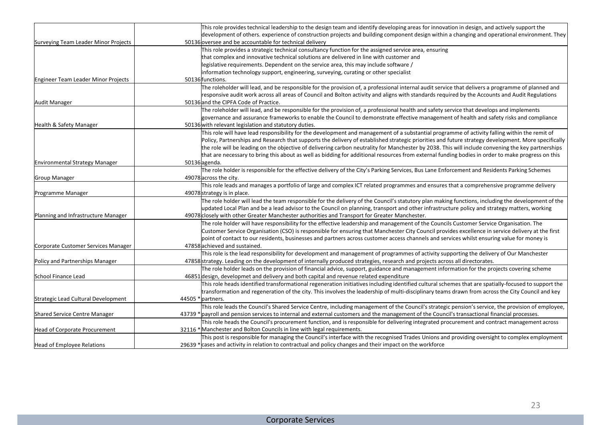|                                       | This role provides technical leadership to the design team and identify developing areas for innovation in design, and actively support the          |
|---------------------------------------|------------------------------------------------------------------------------------------------------------------------------------------------------|
|                                       | development of others. experience of construction projects and building component design within a changing and operational environment. They         |
| Surveying Team Leader Minor Projects  | 50136 oversee and be accountable for technical delivery                                                                                              |
|                                       | This role provides a strategic technical consultancy function for the assigned service area, ensuring                                                |
|                                       | that complex and innovative technical solutions are delivered in line with customer and                                                              |
|                                       | legislative requirements. Dependent on the service area, this may include software /                                                                 |
|                                       | information technology support, engineering, surveying, curating or other specialist                                                                 |
| Engineer Team Leader Minor Projects   | 50136 functions.                                                                                                                                     |
|                                       | The roleholder will lead, and be responsible for the provision of, a professional internal audit service that delivers a programme of planned and    |
|                                       | responsive audit work across all areas of Council and Bolton activity and aligns with standards required by the Accounts and Audit Regulations       |
| Audit Manager                         | 50136 and the CIPFA Code of Practice.                                                                                                                |
|                                       | The roleholder will lead, and be responsible for the provision of, a professional health and safety service that develops and implements             |
|                                       | governance and assurance frameworks to enable the Council to demonstrate effective management of health and safety risks and compliance              |
| Health & Safety Manager               | 50136 with relevant legislation and statutory duties.                                                                                                |
|                                       | This role will have lead responsibility for the development and management of a substantial programme of activity falling within the remit of        |
|                                       | Policy, Partnerships and Research that supports the delivery of established strategic priorities and future strategy development. More specifically  |
|                                       | the role will be leading on the objective of delivering carbon neutrality for Manchester by 2038. This will include convening the key partnerships   |
|                                       | that are necessary to bring this about as well as bidding for additional resources from external funding bodies in order to make progress on this    |
| <b>Environmental Strategy Manager</b> | 50136 agenda.                                                                                                                                        |
|                                       | The role holder is responsible for the effective delivery of the City's Parking Services, Bus Lane Enforcement and Residents Parking Schemes         |
| Group Manager                         | 49078 across the city.                                                                                                                               |
|                                       | This role leads and manages a portfolio of large and complex ICT related programmes and ensures that a comprehensive programme delivery              |
| Programme Manager                     | 49078 strategy is in place.                                                                                                                          |
|                                       | The role holder will lead the team responsible for the delivery of the Council's statutory plan making functions, including the development of the   |
|                                       | updated Local Plan and be a lead advisor to the Council on planning, transport and other infrastructure policy and strategy matters, working         |
| Planning and Infrastructure Manager   | 49078 closely with other Greater Manchester authorities and Transport for Greater Manchester.                                                        |
|                                       | The role holder will have responsibility for the effective leadership and management of the Councils Customer Service Organisation. The              |
|                                       | Customer Service Organisation (CSO) is responsible for ensuring that Manchester City Council provides excellence in service delivery at the first    |
|                                       | point of contact to our residents, businesses and partners across customer access channels and services whilst ensuring value for money is           |
| Corporate Customer Services Manager   | 47858 achieved and sustained.                                                                                                                        |
|                                       | This role is the lead responsibility for development and management of programmes of activity supporting the delivery of Our Manchester              |
| Policy and Partnerships Manager       | 47858 strategy. Leading on the development of internally produced strategies, research and projects across all directorates.                         |
|                                       | The role holder leads on the provision of financial advice, support, guidance and management information for the projects covering scheme            |
| School Finance Lead                   | 46851 design, developmet and delivery and both capital and revenue related expenditure                                                               |
|                                       | This role heads identified transformational regeneration initiatives including identified cultural schemes that are spatially-focused to support the |
|                                       | transformation and regeneration of the city. This involves the leadership of multi-disciplinary teams drawn from across the City Council and key     |
| Strategic Lead Cultural Development   | 44505 * partners.                                                                                                                                    |
|                                       | This role leads the Council's Shared Service Centre, including management of the Council's strategic pension's service, the provision of employee,   |
| Shared Service Centre Manager         | 43739 * payroll and pension services to internal and external customers and the management of the Council's transactional financial processes.       |
|                                       | This role heads the Council's procurement function, and is responsible for delivering integrated procurement and contract management across          |
| <b>Head of Corporate Procurement</b>  | 32116 * Manchester and Bolton Councils in line with legal requirements.                                                                              |
|                                       | This post is responsible for managing the Council's interface with the recognised Trades Unions and providing oversight to complex employment        |
| <b>Head of Employee Relations</b>     | 29639 * cases and activity in relation to contractual and policy changes and their impact on the workforce                                           |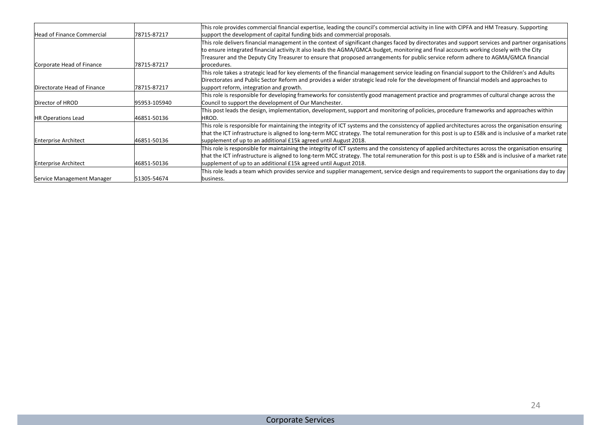|                             |              | This role provides commercial financial expertise, leading the council's commercial activity in line with CIPFA and HM Treasury. Supporting                                                                                                                                                                   |
|-----------------------------|--------------|---------------------------------------------------------------------------------------------------------------------------------------------------------------------------------------------------------------------------------------------------------------------------------------------------------------|
| Head of Finance Commercial  | 178715-87217 | support the development of capital funding bids and commercial proposals.                                                                                                                                                                                                                                     |
|                             |              | This role delivers financial management in the context of significant changes faced by directorates and support services and partner organisations                                                                                                                                                            |
|                             |              | to ensure integrated financial activity.It also leads the AGMA/GMCA budget, monitoring and final accounts working closely with the City                                                                                                                                                                       |
|                             |              | Treasurer and the Deputy City Treasurer to ensure that proposed arrangements for public service reform adhere to AGMA/GMCA financial                                                                                                                                                                          |
| Corporate Head of Finance   | 178715-87217 | procedures.                                                                                                                                                                                                                                                                                                   |
|                             |              | This role takes a strategic lead for key elements of the financial management service leading on financial support to the Children's and Adults<br>Directorates and Public Sector Reform and provides a wider strategic lead role for the development of financial models and approaches to                   |
| Directorate Head of Finance | 178715-87217 | support reform, integration and growth.                                                                                                                                                                                                                                                                       |
|                             |              | This role is responsible for developing frameworks for consistently good management practice and programmes of cultural change across the                                                                                                                                                                     |
| Director of HROD            | 95953-105940 | Council to support the development of Our Manchester.                                                                                                                                                                                                                                                         |
|                             |              | This post leads the design, implementation, development, support and monitoring of policies, procedure frameworks and approaches within                                                                                                                                                                       |
| <b>HR Operations Lead</b>   | 46851-50136  | HROD.                                                                                                                                                                                                                                                                                                         |
|                             |              | This role is responsible for maintaining the integrity of ICT systems and the consistency of applied architectures across the organisation ensuring<br>that the ICT infrastructure is aligned to long-term MCC strategy. The total remuneration for this post is up to £58k and is inclusive of a market rate |
| <b>Enterprise Architect</b> | 46851-50136  | supplement of up to an additional £15k agreed until August 2018.                                                                                                                                                                                                                                              |
|                             |              | This role is responsible for maintaining the integrity of ICT systems and the consistency of applied architectures across the organisation ensuring                                                                                                                                                           |
|                             |              | that the ICT infrastructure is aligned to long-term MCC strategy. The total remuneration for this post is up to £58k and is inclusive of a market rate                                                                                                                                                        |
| <b>Enterprise Architect</b> | 46851-50136  | supplement of up to an additional £15k agreed until August 2018.                                                                                                                                                                                                                                              |
|                             |              | This role leads a team which provides service and supplier management, service design and requirements to support the organisations day to day                                                                                                                                                                |
| Service Management Manager  | 51305-54674  | lbusiness.                                                                                                                                                                                                                                                                                                    |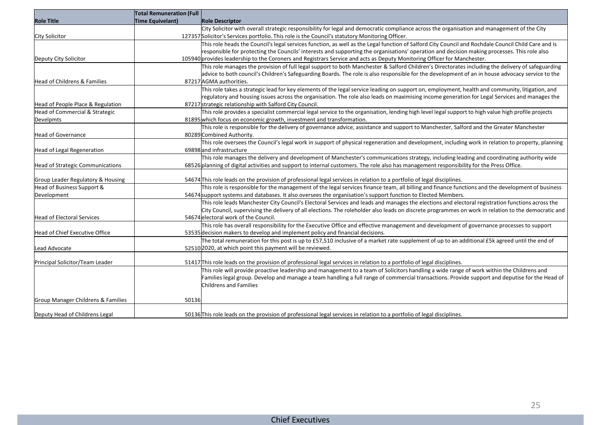|                                    | Total Remuneration (Full $\vert$ |                                                                                                                                                     |
|------------------------------------|----------------------------------|-----------------------------------------------------------------------------------------------------------------------------------------------------|
| <b>Role Title</b>                  | Time Equivelant)                 | <b>Role Descriptor</b>                                                                                                                              |
|                                    |                                  | City Solicitor with overall strategic responsibility for legal and democratic compliance across the organisation and management of the City         |
| City Solicitor                     |                                  | 127357 Solicitor's Services portfolio. This role is the Council's statutory Monitoring Officer.                                                     |
|                                    |                                  | This role heads the Council's legal services function, as well as the Legal function of Salford City Council and Rochdale Council Child Care and is |
|                                    |                                  | responsible for protecting the Councils' interests and supporting the organisations' operation and decision making processes. This role also        |
| Deputy City Solicitor              |                                  | 105940 provides leadership to the Coroners and Registrars Service and acts as Deputy Monitoring Officer for Manchester.                             |
|                                    |                                  | This role manages the provision of full legal support to both Manchester & Salford Children's Directorates including the delivery of safeguarding   |
|                                    |                                  | advice to both council's Children's Safeguarding Boards. The role is also responsible for the development of an in house advocacy service to the    |
| Head of Childrens & Families       |                                  | 87217 AGMA authorities.                                                                                                                             |
|                                    |                                  | This role takes a strategic lead for key elements of the legal service leading on support on, employment, health and community, litigation, and     |
|                                    |                                  | regulatory and housing issues across the organisation. The role also leads on maximising income generation for Legal Services and manages the       |
| Head of People Place & Regulation  |                                  | 87217 strategic relationship with Salford City Council.                                                                                             |
| Head of Commercial & Strategic     |                                  | This role provides a specialist commercial legal service to the organisation, lending high level legal support to high value high profile projects  |
| Develpmts                          |                                  | 81895 which focus on economic growth, investment and transformation.                                                                                |
|                                    |                                  | This role is responsible for the delivery of governance advice, assistance and support to Manchester, Salford and the Greater Manchester            |
| Head of Governance                 |                                  | 80289 Combined Authority.                                                                                                                           |
|                                    |                                  | This role oversees the Council's legal work in support of physical regeneration and development, including work in relation to property, planning   |
| Head of Legal Regeneration         |                                  | 69898 and infrastructure                                                                                                                            |
|                                    |                                  | This role manages the delivery and development of Manchester's communications strategy, including leading and coordinating authority wide           |
| Head of Strategic Communications   |                                  | 68526 planning of digital activities and support to internal customers. The role also has management responsibility for the Press Office.           |
| Group Leader Regulatory & Housing  |                                  | 54674 This role leads on the provision of professional legal services in relation to a portfolio of legal disciplines.                              |
| Head of Business Support &         |                                  | This role is responsible for the management of the legal services finance team, all billing and finance functions and the development of business   |
| Development                        |                                  | 54674 support systems and databases. It also oversees the organisation's support function to Elected Members.                                       |
|                                    |                                  | This role leads Manchester City Council's Electoral Services and leads and manages the elections and electoral registration functions across the    |
|                                    |                                  | City Council, supervising the delivery of all elections. The roleholder also leads on discrete programmes on work in relation to the democratic and |
| Head of Electoral Services         |                                  | 54674 electoral work of the Council.                                                                                                                |
|                                    |                                  | This role has overall responsibility for the Executive Office and effective management and development of governance processes to support           |
| Head of Chief Executive Office     |                                  | 53535 decision makers to develop and implement policy and financial decisions.                                                                      |
|                                    |                                  | The total remuneration for this post is up to £57,510 inclusive of a market rate supplement of up to an additional £5k agreed until the end of      |
| Lead Advocate                      |                                  | 52510 2020, at which point this payment will be reviewed.                                                                                           |
|                                    |                                  |                                                                                                                                                     |
| Principal Solicitor/Team Leader    |                                  | 51417 This role leads on the provision of professional legal services in relation to a portfolio of legal disciplines.                              |
|                                    |                                  | This role will provide proactive leadership and management to a team of Solicitors handling a wide range of work within the Childrens and           |
|                                    |                                  | Families legal group. Develop and manage a team handling a full range of commercial transactions. Provide support and deputise for the Head of      |
|                                    |                                  | Childrens and Families                                                                                                                              |
|                                    |                                  |                                                                                                                                                     |
| Group Manager Childrens & Families | 50136                            |                                                                                                                                                     |
|                                    |                                  |                                                                                                                                                     |
| Deputy Head of Childrens Legal     |                                  | 50136 This role leads on the provision of professional legal services in relation to a portfolio of legal disciplines.                              |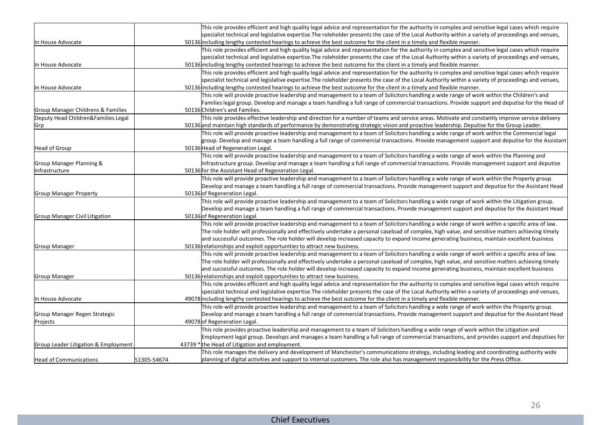|                                      |             | This role provides efficient and high quality legal advice and representation for the authority in complex and sensitive legal cases which require                                                                                                                                                       |
|--------------------------------------|-------------|----------------------------------------------------------------------------------------------------------------------------------------------------------------------------------------------------------------------------------------------------------------------------------------------------------|
|                                      |             | specialist technical and legislative expertise.The roleholder presents the case of the Local Authority within a variety of proceedings and venues,                                                                                                                                                       |
| In House Advocate                    |             | 50136 including lengthy contested hearings to achieve the best outcome for the client in a timely and flexible manner.                                                                                                                                                                                   |
|                                      |             | This role provides efficient and high quality legal advice and representation for the authority in complex and sensitive legal cases which require                                                                                                                                                       |
|                                      |             | specialist technical and legislative expertise.The roleholder presents the case of the Local Authority within a variety of proceedings and venues,                                                                                                                                                       |
| In House Advocate                    |             | 50136 including lengthy contested hearings to achieve the best outcome for the client in a timely and flexible manner.                                                                                                                                                                                   |
|                                      |             |                                                                                                                                                                                                                                                                                                          |
|                                      |             | This role provides efficient and high quality legal advice and representation for the authority in complex and sensitive legal cases which require<br>specialist technical and legislative expertise.The roleholder presents the case of the Local Authority within a variety of proceedings and venues, |
| In House Advocate                    |             | 50136 including lengthy contested hearings to achieve the best outcome for the client in a timely and flexible manner.                                                                                                                                                                                   |
|                                      |             | This role will provide proactive leadership and management to a team of Solicitors handling a wide range of work within the Children's and                                                                                                                                                               |
|                                      |             | Families legal group. Develop and manage a team handling a full range of commercial transactions. Provide support and deputise for the Head of                                                                                                                                                           |
| Group Manager Childrens & Families   |             | 50136 Children's and Families.                                                                                                                                                                                                                                                                           |
|                                      |             | This role provides effective leadership and direction for a number of teams and service areas. Motivate and constantly improve service delivery                                                                                                                                                          |
| Deputy Head Children&Families Legal  |             |                                                                                                                                                                                                                                                                                                          |
| Grp                                  |             | 50136 and maintain high standards of performance by demonstrating strategic vision and proactive leadership. Deputise for the Group Leader.                                                                                                                                                              |
|                                      |             | This role will provide proactive leadership and management to a team of Solicitors handling a wide range of work within the Commercial legal                                                                                                                                                             |
|                                      |             | group. Develop and manage a team handling a full range of commercial transactions. Provide management support and deputise for the Assistant                                                                                                                                                             |
| Head of Group                        |             | 50136 Head of Regeneration Legal.                                                                                                                                                                                                                                                                        |
|                                      |             | This role will provide proactive leadership and management to a team of Solicitors handling a wide range of work within the Planning and                                                                                                                                                                 |
| Group Manager Planning &             |             | Infrastructure group. Develop and manage a team handling a full range of commercial transactions. Provide management support and deputise                                                                                                                                                                |
| Infrastructure                       |             | 50136 for the Assistant Head of Regeneration Legal.                                                                                                                                                                                                                                                      |
|                                      |             | This role will provide proactive leadership and management to a team of Solicitors handling a wide range of work within the Property group.                                                                                                                                                              |
|                                      |             | Develop and manage a team handling a full range of commercial transactions. Provide management support and deputise for the Assistant Head                                                                                                                                                               |
| <b>Group Manager Property</b>        |             | 50136 of Regeneration Legal.                                                                                                                                                                                                                                                                             |
|                                      |             | This role will provide proactive leadership and management to a team of Solicitors handling a wide range of work within the Litigation group.                                                                                                                                                            |
|                                      |             | Develop and manage a team handling a full range of commercial transactions. Provide management support and deputise for the Assistant Head                                                                                                                                                               |
| Group Manager Civil Litigation       |             | 50136 of Regeneration Legal.                                                                                                                                                                                                                                                                             |
|                                      |             | This role will provide proactive leadership and management to a team of Solicitors handling a wide range of work within a specific area of law.                                                                                                                                                          |
|                                      |             | The role holder will professionally and effectively undertake a personal caseload of complex, high value, and sensitive matters achieving timely                                                                                                                                                         |
|                                      |             | and successful outcomes. The role holder will develop increased capacity to expand income generating business, maintain excellent business                                                                                                                                                               |
| <b>Group Manager</b>                 |             | 50136 relationships and exploit opportunities to attract new business.                                                                                                                                                                                                                                   |
|                                      |             | This role will provide proactive leadership and management to a team of Solicitors handling a wide range of work within a specific area of law.                                                                                                                                                          |
|                                      |             | The role holder will professionally and effectively undertake a personal caseload of complex, high value, and sensitive matters achieving timely                                                                                                                                                         |
|                                      |             | and successful outcomes. The role holder will develop increased capacity to expand income generating business, maintain excellent business                                                                                                                                                               |
| <b>Group Manager</b>                 |             | 50136 relationships and exploit opportunities to attract new business.                                                                                                                                                                                                                                   |
|                                      |             | This role provides efficient and high quality legal advice and representation for the authority in complex and sensitive legal cases which require                                                                                                                                                       |
|                                      |             | specialist technical and legislative expertise.The roleholder presents the case of the Local Authority within a variety of proceedings and venues,                                                                                                                                                       |
| In House Advocate                    |             | 49078 including lengthy contested hearings to achieve the best outcome for the client in a timely and flexible manner.                                                                                                                                                                                   |
|                                      |             | This role will provide proactive leadership and management to a team of Solicitors handling a wide range of work within the Property group.                                                                                                                                                              |
| Group Manager Regen Strategic        |             | Develop and manage a team handling a full range of commercial transactions. Provide management support and deputise for the Assistant Head                                                                                                                                                               |
| Projects                             |             | 49078 of Regeneration Legal.                                                                                                                                                                                                                                                                             |
|                                      |             | This role provides proactive leadership and management to a team of Solicitors handling a wide range of work within the Litigation and                                                                                                                                                                   |
|                                      |             | Employment legal group. Develops and manages a team handling a full range of commercial transactions, and provides support and deputises for                                                                                                                                                             |
| Group Leader Litigation & Employment |             | 43739 * the Head of Litigation and employment.                                                                                                                                                                                                                                                           |
|                                      |             | This role manages the delivery and development of Manchester's communications strategy, including leading and coordinating authority wide                                                                                                                                                                |
| Head of Communications               | 51305-54674 | planning of digital activities and support to internal customers. The role also has management responsibility for the Press Office.                                                                                                                                                                      |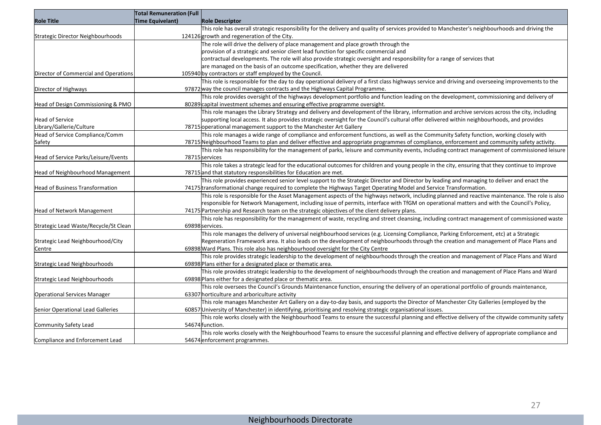|                                       | <b>Total Remuneration (Full</b> |                                                                                                                                                   |
|---------------------------------------|---------------------------------|---------------------------------------------------------------------------------------------------------------------------------------------------|
| <b>Role Title</b>                     | <b>Time Equivelant)</b>         | <b>Role Descriptor</b>                                                                                                                            |
|                                       |                                 | This role has overall strategic responsibility for the delivery and quality of services provided to Manchester's neighbourhoods and driving the   |
| Strategic Director Neighbourhoods     |                                 | 124126 growth and regeneration of the City.                                                                                                       |
|                                       |                                 | The role will drive the delivery of place management and place growth through the                                                                 |
|                                       |                                 | provision of a strategic and senior client lead function for specific commercial and                                                              |
|                                       |                                 | contractual developments. The role will also provide strategic oversight and responsibility for a range of services that                          |
|                                       |                                 | are managed on the basis of an outcome specification, whether they are delivered                                                                  |
| Director of Commercial and Operations |                                 | 105940 by contractors or staff employed by the Council.                                                                                           |
|                                       |                                 | This role is responsible for the day to day operational delivery of a first class highways service and driving and overseeing improvements to the |
| Director of Highways                  |                                 | 97872 way the council manages contracts and the Highways Capital Programme.                                                                       |
|                                       |                                 | This role provides oversight of the highways development portfolio and function leading on the development, commissioning and delivery of         |
| Head of Design Commissioning & PMO    |                                 | 80289 capital investment schemes and ensuring effective programme oversight.                                                                      |
|                                       |                                 | This role manages the Library Strategy and delivery and development of the library, information and archive services across the city, including   |
| Head of Service                       |                                 | supporting local access. It also provides strategic oversight for the Council's cultural offer delivered within neighbourhoods, and provides      |
| Library/Gallerie/Culture              |                                 | 78715 operational management support to the Manchester Art Gallery                                                                                |
| Head of Service Compliance/Comm       |                                 | This role manages a wide range of compliance and enforcement functions, as well as the Community Safety function, working closely with            |
| Safety                                |                                 | 78715 Neighbourhood Teams to plan and deliver effective and appropriate programmes of compliance, enforcement and community safety activity.      |
|                                       |                                 | This role has responsibility for the management of parks, leisure and community events, including contract management of commissioned leisure     |
| Head of Service Parks/Leisure/Events  |                                 | 78715 services                                                                                                                                    |
|                                       |                                 | This role takes a strategic lead for the educational outcomes for children and young people in the city, ensuring that they continue to improve   |
| Head of Neighbourhood Management      |                                 | 78715 and that statutory responsibilities for Education are met.                                                                                  |
|                                       |                                 | This role provides experienced senior level support to the Strategic Director and Director by leading and managing to deliver and enact the       |
| Head of Business Transformation       |                                 | 74175 transformational change required to complete the Highways Target Operating Model and Service Transformation.                                |
|                                       |                                 | This role is responsible for the Asset Management aspects of the highways network, including planned and reactive maintenance. The role is also   |
|                                       |                                 | responsible for Network Management, including issue of permits, interface with TfGM on operational matters and with the Council's Policy,         |
| Head of Network Management            |                                 | 74175 Partnership and Research team on the strategic objectives of the client delivery plans.                                                     |
|                                       |                                 | This role has responsibility for the management of waste, recycling and street cleansing, including contract management of commissioned waste     |
| Strategic Lead Waste/Recycle/St Clean |                                 | 69898 services.                                                                                                                                   |
|                                       |                                 | This role manages the delivery of universal neighbourhood services (e.g. Licensing Compliance, Parking Enforcement, etc) at a Strategic           |
| Strategic Lead Neighbourhood/City     |                                 | Regeneration Framework area. It also leads on the development of neighbourhoods through the creation and management of Place Plans and            |
| Centre                                |                                 | 69898 Ward Plans. This role also has neighbourhood oversight for the City Centre                                                                  |
|                                       |                                 | This role provides strategic leadership to the development of neighbourhoods through the creation and management of Place Plans and Ward          |
| Strategic Lead Neighbourhoods         |                                 | 69898 Plans either for a designated place or thematic area.                                                                                       |
|                                       |                                 | This role provides strategic leadership to the development of neighbourhoods through the creation and management of Place Plans and Ward          |
| Strategic Lead Neighbourhoods         |                                 | 69898 Plans either for a designated place or thematic area.                                                                                       |
|                                       |                                 | This role oversees the Council's Grounds Maintenance function, ensuring the delivery of an operational portfolio of grounds maintenance,          |
| <b>Operational Services Manager</b>   |                                 | 63307 horticulture and arboriculture activity                                                                                                     |
|                                       |                                 | This role manages Manchester Art Gallery on a day-to-day basis, and supports the Director of Manchester City Galleries (employed by the           |
| Senior Operational Lead Galleries     |                                 | 60857 University of Manchester) in identifying, prioritising and resolving strategic organisational issues.                                       |
|                                       |                                 | This role works closely with the Neighbourhood Teams to ensure the successful planning and effective delivery of the citywide community safety    |
| Community Safety Lead                 |                                 | 54674 function.                                                                                                                                   |
|                                       |                                 | This role works closely with the Neighbourhood Teams to ensure the successful planning and effective delivery of appropriate compliance and       |
| Compliance and Enforcement Lead       |                                 | 54674 enforcement programmes.                                                                                                                     |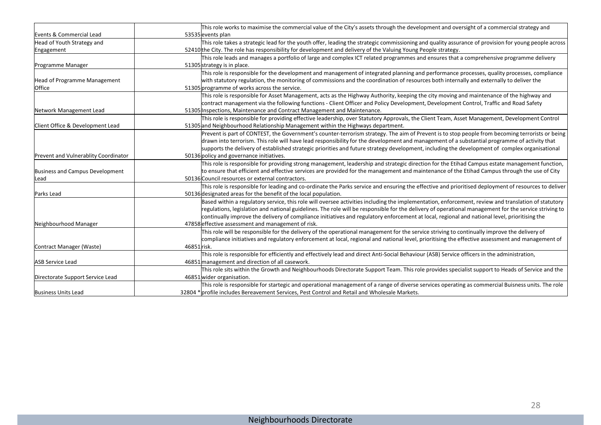|                                      | This role works to maximise the commercial value of the City's assets through the development and oversight of a commercial strategy and              |
|--------------------------------------|-------------------------------------------------------------------------------------------------------------------------------------------------------|
| Events & Commercial Lead             | 53535 events plan                                                                                                                                     |
| Head of Youth Strategy and           | This role takes a strategic lead for the youth offer, leading the strategic commissioning and quality assurance of provision for young people across  |
| Engagement                           | 52410 the City. The role has responsibility for development and delivery of the Valuing Young People strategy.                                        |
|                                      | This role leads and manages a portfolio of large and complex ICT related programmes and ensures that a comprehensive programme delivery               |
| Programme Manager                    | 51305 strategy is in place.                                                                                                                           |
|                                      | This role is responsible for the development and management of integrated planning and performance processes, quality processes, compliance           |
| Head of Programme Management         | with statutory regulation, the monitoring of commissions and the coordination of resources both internally and externally to deliver the              |
| <b>Office</b>                        | 51305 programme of works across the service.                                                                                                          |
|                                      | This role is responsible for Asset Management, acts as the Highway Authority, keeping the city moving and maintenance of the highway and              |
|                                      | contract management via the following functions - Client Officer and Policy Development, Development Control, Traffic and Road Safety                 |
| Network Management Lead              | 51305 Inspections, Maintenance and Contract Management and Maintenance.                                                                               |
|                                      | This role is responsible for providing effective leadership, over Statutory Approvals, the Client Team, Asset Management, Development Control         |
| Client Office & Development Lead     | 51305 and Neighbourhood Relationship Management within the Highways department.                                                                       |
|                                      | Prevent is part of CONTEST, the Government's counter-terrorism strategy. The aim of Prevent is to stop people from becoming terrorists or being       |
|                                      | drawn into terrorism. This role will have lead responsibility for the development and management of a substantial programme of activity that          |
|                                      | supports the delivery of established strategic priorities and future strategy development, including the development of complex organisational        |
| Prevent and Vulnerablity Coordinator | 50136 policy and governance initiatives.                                                                                                              |
|                                      | This role is responsible for providing strong management, leadership and strategic direction for the Etihad Campus estate management function,        |
| Business and Campus Development      | to ensure that efficient and effective services are provided for the management and maintenance of the Etihad Campus through the use of City          |
| Lead                                 | 50136 Council resources or external contractors.                                                                                                      |
|                                      | This role is responsible for leading and co-ordinate the Parks service and ensuring the effective and prioritised deployment of resources to deliver  |
| Parks Lead                           | 50136 designated areas for the benefit of the local population.                                                                                       |
|                                      | Based within a regulatory service, this role will oversee activities including the implementation, enforcement, review and translation of statutory   |
|                                      | regulations, legislation and national guidelines. The role will be responsible for the delivery of operational management for the service striving to |
|                                      | continually improve the delivery of compliance initiatives and regulatory enforcement at local, regional and national level, prioritising the         |
| Neighbourhood Manager                | 47858 effective assessment and management of risk.                                                                                                    |
|                                      | This role will be responsible for the delivery of the operational management for the service striving to continually improve the delivery of          |
|                                      | compliance initiatives and regulatory enforcement at local, regional and national level, prioritising the effective assessment and management of      |
| Contract Manager (Waste)             | 46851 risk.                                                                                                                                           |
|                                      | This role is responsible for efficiently and effectively lead and direct Anti-Social Behaviour (ASB) Service officers in the administration,          |
| <b>ASB Service Lead</b>              | 46851 management and direction of all casework.                                                                                                       |
|                                      | This role sits within the Growth and Neighbourhoods Directorate Support Team. This role provides specialist support to Heads of Service and the       |
| Directorate Support Service Lead     | 46851 wider organisation.                                                                                                                             |
|                                      | This role is responsible for startegic and operational management of a range of diverse services operating as commercial Buisness units. The role     |
| Business Units Lead                  | 32804 * profile includes Bereavement Services, Pest Control and Retail and Wholesale Markets.                                                         |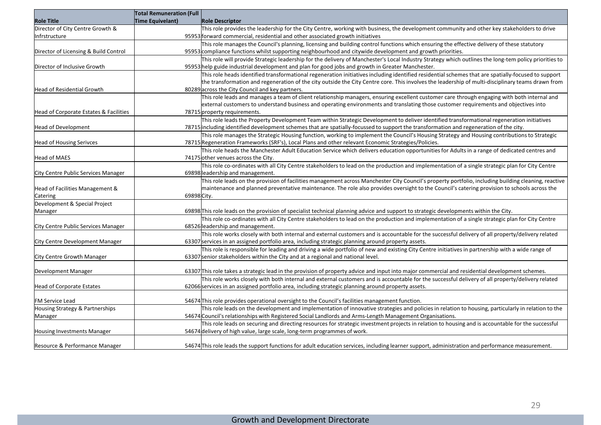|                                        | <b>Total Remuneration (Full</b> |                                                                                                                                                                                                                                                                                                      |
|----------------------------------------|---------------------------------|------------------------------------------------------------------------------------------------------------------------------------------------------------------------------------------------------------------------------------------------------------------------------------------------------|
| <b>Role Title</b>                      | <b>Time Equivelant)</b>         | <b>Role Descriptor</b>                                                                                                                                                                                                                                                                               |
| Director of City Centre Growth &       |                                 | This role provides the leadership for the City Centre, working with business, the development community and other key stakeholders to drive                                                                                                                                                          |
| Infrstructure                          |                                 | 95953 forward commercial, residential and other associated growth initiatives                                                                                                                                                                                                                        |
|                                        |                                 | This role manages the Council's planning, licensing and building control functions which ensuring the effective delivery of these statutory                                                                                                                                                          |
| Director of Licensing & Build Control  |                                 | 95953 compliance functions whilst supporting neighbourhood and citywide development and growth priorities.                                                                                                                                                                                           |
|                                        |                                 | This role will provide Strategic leadership for the delivery of Manchester's Local Industry Strategy which outlines the long-tem policy priorities to                                                                                                                                                |
| Director of Inclusive Growth           |                                 | 95953 help guide industrial development and plan for good jobs and growth in Greater Manchester.                                                                                                                                                                                                     |
|                                        |                                 | This role heads identified transformational regeneration initiatives including identified residential schemes that are spatially-focused to support                                                                                                                                                  |
|                                        |                                 | the transformation and regeneration of the city outside the City Centre core. This involves the leadership of multi-disciplinary teams drawn from                                                                                                                                                    |
| Head of Residential Growth             |                                 | 80289 across the City Council and key partners.                                                                                                                                                                                                                                                      |
|                                        |                                 | This role leads and manages a team of client relationship managers, ensuring excellent customer care through engaging with both internal and                                                                                                                                                         |
|                                        |                                 | external customers to understand business and operating environments and translating those customer requirements and objectives into                                                                                                                                                                 |
| Head of Corporate Estates & Facilities |                                 | 78715 property requirements.                                                                                                                                                                                                                                                                         |
|                                        |                                 | This role leads the Property Development Team within Strategic Development to deliver identified transformational regeneration initiatives                                                                                                                                                           |
| Head of Development                    |                                 | 78715 including identified development schemes that are spatially-focussed to support the transformation and regeneration of the city.                                                                                                                                                               |
|                                        |                                 | This role manages the Strategic Housing function, working to implement the Council's Housing Strategy and Housing contributions to Strategic                                                                                                                                                         |
| Head of Housing Serivces               |                                 | 78715 Regeneration Frameworks (SRF's), Local Plans and other relevant Economic Strategies/Policies.                                                                                                                                                                                                  |
|                                        |                                 | This role heads the Manchester Adult Education Service which delivers education opportunities for Adults in a range of dedicated centres and                                                                                                                                                         |
| Head of MAES                           |                                 | 74175 other venues across the City.                                                                                                                                                                                                                                                                  |
|                                        |                                 | This role co-ordinates with all City Centre stakeholders to lead on the production and implementation of a single strategic plan for City Centre                                                                                                                                                     |
| City Centre Public Services Manager    |                                 | 69898 leadership and management.                                                                                                                                                                                                                                                                     |
|                                        |                                 | This role leads on the provision of facilities management across Manchester City Council's property portfolio, including building cleaning, reactive                                                                                                                                                 |
| Head of Facilities Management &        |                                 | maintenance and planned preventative maintenance. The role also provides oversight to the Council's catering provision to schools across the                                                                                                                                                         |
| Catering                               | 69898 City.                     |                                                                                                                                                                                                                                                                                                      |
| Development & Special Project          |                                 |                                                                                                                                                                                                                                                                                                      |
| Manager                                |                                 | 69898 This role leads on the provision of specialist technical planning advice and support to strategic developments within the City.                                                                                                                                                                |
|                                        |                                 | This role co-ordinates with all City Centre stakeholders to lead on the production and implementation of a single strategic plan for City Centre                                                                                                                                                     |
| City Centre Public Services Manager    |                                 | 68526 leadership and management.                                                                                                                                                                                                                                                                     |
|                                        |                                 | This role works closely with both internal and external customers and is accountable for the successful delivery of all property/delivery related                                                                                                                                                    |
| City Centre Development Manager        |                                 | 63307 services in an assigned portfolio area, including strategic planning around property assets.                                                                                                                                                                                                   |
|                                        |                                 | This role is responsible for leading and driving a wide portfolio of new and existing City Centre initiatives in partnership with a wide range of                                                                                                                                                    |
| City Centre Growth Manager             |                                 | 63307 senior stakeholders within the City and at a regional and national level.                                                                                                                                                                                                                      |
|                                        |                                 |                                                                                                                                                                                                                                                                                                      |
| Development Manager                    |                                 | 63307 This role takes a strategic lead in the provision of property advice and input into major commercial and residential development schemes.<br>This role works closely with both internal and external customers and is accountable for the successful delivery of all property/delivery related |
| Head of Corporate Estates              |                                 |                                                                                                                                                                                                                                                                                                      |
|                                        |                                 | 62066 services in an assigned portfolio area, including strategic planning around property assets.                                                                                                                                                                                                   |
| FM Service Lead                        |                                 | 54674 This role provides operational oversight to the Council's facilities management function.                                                                                                                                                                                                      |
| Housing Strategy & Partnerships        |                                 | This role leads on the development and implementation of innovative strategies and policies in relation to housing, particularly in relation to the                                                                                                                                                  |
| Manager                                |                                 | 54674 Council's relationships with Registered Social Landlords and Arms-Length Management Organisations.                                                                                                                                                                                             |
|                                        |                                 | This role leads on securing and directing resources for strategic investment projects in relation to housing and is accountable for the successful                                                                                                                                                   |
| Housing Investments Manager            |                                 | 54674 delivery of high value, large scale, long-term programmes of work.                                                                                                                                                                                                                             |
|                                        |                                 |                                                                                                                                                                                                                                                                                                      |
| Resource & Performance Manager         |                                 | 54674 This role leads the support functions for adult education services, including learner support, administration and performance measurement.                                                                                                                                                     |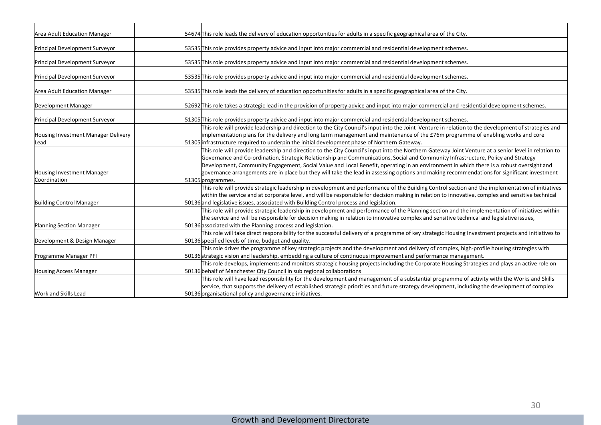| Area Adult Education Manager                | 54674 This role leads the delivery of education opportunities for adults in a specific geographical area of the City.                                                                                                                                                                                                                                                                                                                                                                                                                                                                                    |
|---------------------------------------------|----------------------------------------------------------------------------------------------------------------------------------------------------------------------------------------------------------------------------------------------------------------------------------------------------------------------------------------------------------------------------------------------------------------------------------------------------------------------------------------------------------------------------------------------------------------------------------------------------------|
| Principal Development Surveyor              | 53535 This role provides property advice and input into major commercial and residential development schemes.                                                                                                                                                                                                                                                                                                                                                                                                                                                                                            |
| Principal Development Surveyor              | 53535 This role provides property advice and input into major commercial and residential development schemes.                                                                                                                                                                                                                                                                                                                                                                                                                                                                                            |
| Principal Development Surveyor              | 53535 This role provides property advice and input into major commercial and residential development schemes.                                                                                                                                                                                                                                                                                                                                                                                                                                                                                            |
| Area Adult Education Manager                | 53535 This role leads the delivery of education opportunities for adults in a specific geographical area of the City.                                                                                                                                                                                                                                                                                                                                                                                                                                                                                    |
| Development Manager                         | 52692 This role takes a strategic lead in the provision of property advice and input into major commercial and residential development schemes.                                                                                                                                                                                                                                                                                                                                                                                                                                                          |
| Principal Development Surveyor              | 51305 This role provides property advice and input into major commercial and residential development schemes.                                                                                                                                                                                                                                                                                                                                                                                                                                                                                            |
| Housing Investment Manager Delivery<br>Lead | This role will provide leadership and direction to the City Council's input into the Joint Venture in relation to the development of strategies and<br>implementation plans for the delivery and long term management and maintenance of the £76m programme of enabling works and core<br>51305 infrastructure required to underpin the initial development phase of Northern Gateway.                                                                                                                                                                                                                   |
| Housing Investment Manager<br>Coordination  | This role will provide leadership and direction to the City Council's input into the Northern Gateway Joint Venture at a senior level in relation to<br>Governance and Co-ordination, Strategic Relationship and Communications, Social and Community Infrastructure, Policy and Strategy<br>Development, Community Engagement, Social Value and Local Benefit, operating in an environment in which there is a robust oversight and<br>governance arrangements are in place but they will take the lead in assessing options and making recommendations for significant investment<br>51305 programmes. |
| Building Control Manager                    | This role will provide strategic leadership in development and performance of the Building Control section and the implementation of initiatives<br>within the service and at corporate level, and will be responsible for decision making in relation to innovative, complex and sensitive technical<br>50136 and legislative issues, associated with Building Control process and legislation.                                                                                                                                                                                                         |
| Planning Section Manager                    | This role will provide strategic leadership in development and performance of the Planning section and the implementation of initiatives within<br>the service and will be responsible for decision making in relation to innovative complex and sensitive technical and legislative issues,<br>50136 associated with the Planning process and legislation.                                                                                                                                                                                                                                              |
| Development & Design Manager                | This role will take direct responsibility for the successful delivery of a programme of key strategic Housing Investment projects and initiatives to<br>50136 specified levels of time, budget and quality.                                                                                                                                                                                                                                                                                                                                                                                              |
| Programme Manager PFI                       | This role drives the programme of key strategic projects and the development and delivery of complex, high-profile housing strategies with<br>50136 strategic vision and leadership, embedding a culture of continuous improvement and performance management.                                                                                                                                                                                                                                                                                                                                           |
| Housing Access Manager                      | This role develops, implements and monitors strategic housing projects including the Corporate Housing Strategies and plays an active role on<br>50136 behalf of Manchester City Council in sub regional collaborations                                                                                                                                                                                                                                                                                                                                                                                  |
| Work and Skills Lead                        | This role will have lead responsibility for the development and management of a substantial programme of activity withi the Works and Skills<br>service, that supports the delivery of established strategic priorities and future strategy development, including the development of complex<br>50136 organisational policy and governance initiatives.                                                                                                                                                                                                                                                 |